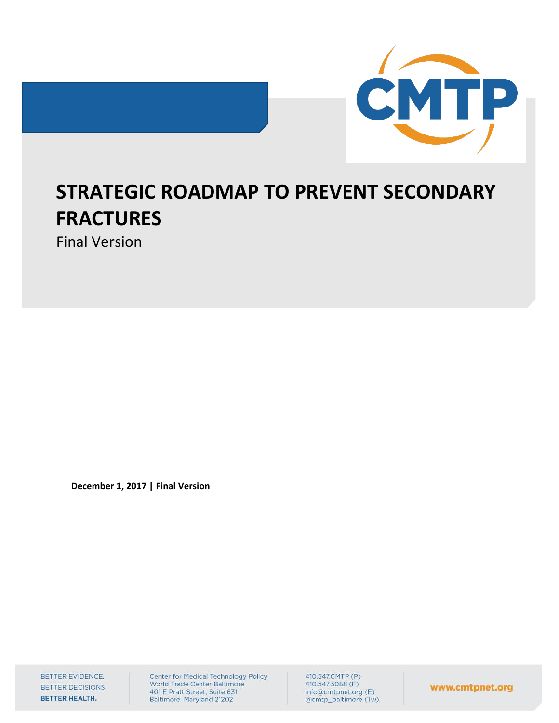



# **STRATEGIC ROADMAP TO PREVENT SECONDARY FRACTURES**

Final Version

**December 1, 2017 | Final Version**

BETTER EVIDENCE. BETTER DECISIONS. BETTER HEALTH.

Center for Medical Technology Policy World Trade Center Baltimore 401 E Pratt Street, Suite 631 Baltimore, Maryland 21202

410.547.CMTP (P) 410.547.5088 (F) info@cmtpnet.org (E) @cmtp\_baltimore (Tw)

www.cmtpnet.org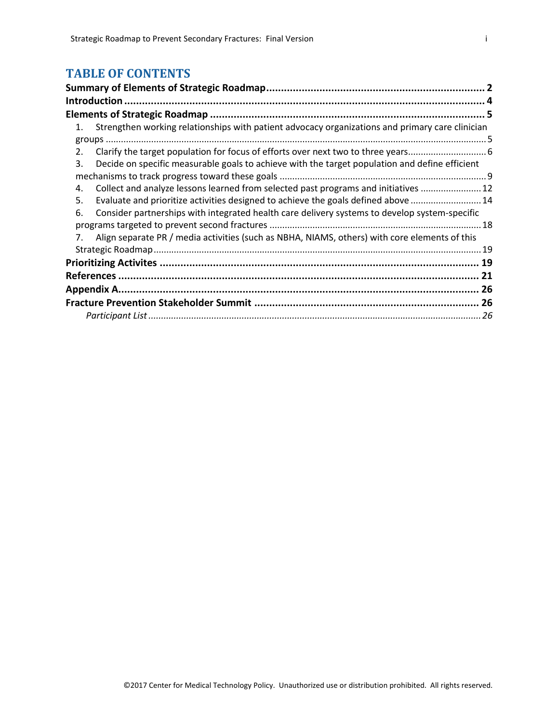# **TABLE OF CONTENTS**

|    | Introduction.                                                                                   |    |
|----|-------------------------------------------------------------------------------------------------|----|
|    |                                                                                                 |    |
| 1. | Strengthen working relationships with patient advocacy organizations and primary care clinician |    |
|    |                                                                                                 |    |
| 2. |                                                                                                 |    |
| 3. | Decide on specific measurable goals to achieve with the target population and define efficient  |    |
|    |                                                                                                 |    |
| 4. | Collect and analyze lessons learned from selected past programs and initiatives  12             |    |
| 5. | Evaluate and prioritize activities designed to achieve the goals defined above  14              |    |
| 6. | Consider partnerships with integrated health care delivery systems to develop system-specific   |    |
|    |                                                                                                 | 18 |
| 7. | Align separate PR / media activities (such as NBHA, NIAMS, others) with core elements of this   |    |
|    |                                                                                                 |    |
|    |                                                                                                 |    |
|    |                                                                                                 |    |
|    |                                                                                                 |    |
|    |                                                                                                 |    |
|    |                                                                                                 |    |
|    |                                                                                                 |    |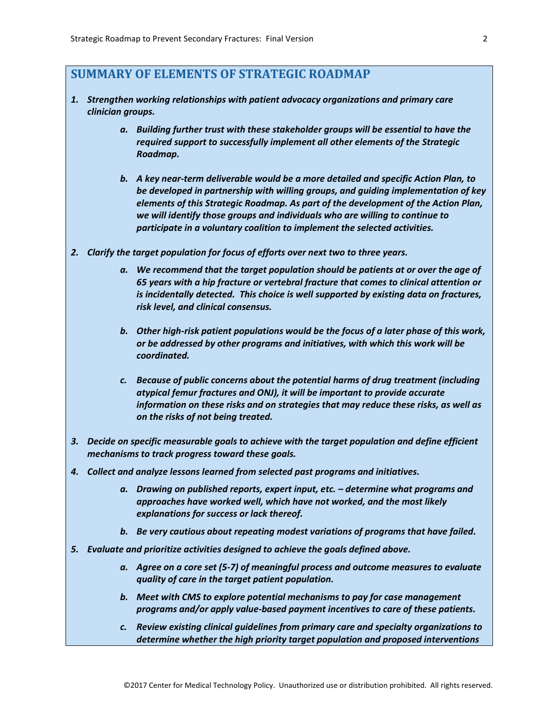# <span id="page-2-0"></span>**SUMMARY OF ELEMENTS OF STRATEGIC ROADMAP**

- *1. Strengthen working relationships with patient advocacy organizations and primary care clinician groups.* 
	- *a. Building further trust with these stakeholder groups will be essential to have the required support to successfully implement all other elements of the Strategic Roadmap.*
	- *b. A key near-term deliverable would be a more detailed and specific Action Plan, to be developed in partnership with willing groups, and guiding implementation of key elements of this Strategic Roadmap. As part of the development of the Action Plan, we will identify those groups and individuals who are willing to continue to participate in a voluntary coalition to implement the selected activities.*
- *2. Clarify the target population for focus of efforts over next two to three years.* 
	- *a. We recommend that the target population should be patients at or over the age of 65 years with a hip fracture or vertebral fracture that comes to clinical attention or is incidentally detected. This choice is well supported by existing data on fractures, risk level, and clinical consensus.*
	- *b. Other high-risk patient populations would be the focus of a later phase of this work, or be addressed by other programs and initiatives, with which this work will be coordinated.*
	- *c. Because of public concerns about the potential harms of drug treatment (including atypical femur fractures and ONJ), it will be important to provide accurate information on these risks and on strategies that may reduce these risks, as well as on the risks of not being treated.*
- *3. Decide on specific measurable goals to achieve with the target population and define efficient mechanisms to track progress toward these goals.*
- *4. Collect and analyze lessons learned from selected past programs and initiatives.*
	- *a. Drawing on published reports, expert input, etc. – determine what programs and approaches have worked well, which have not worked, and the most likely explanations for success or lack thereof.*
	- *b. Be very cautious about repeating modest variations of programs that have failed.*
- *5. Evaluate and prioritize activities designed to achieve the goals defined above.*
	- *a. Agree on a core set (5-7) of meaningful process and outcome measures to evaluate quality of care in the target patient population.*
	- *b. Meet with CMS to explore potential mechanisms to pay for case management programs and/or apply value-based payment incentives to care of these patients.*
	- *c. Review existing clinical guidelines from primary care and specialty organizations to determine whether the high priority target population and proposed interventions*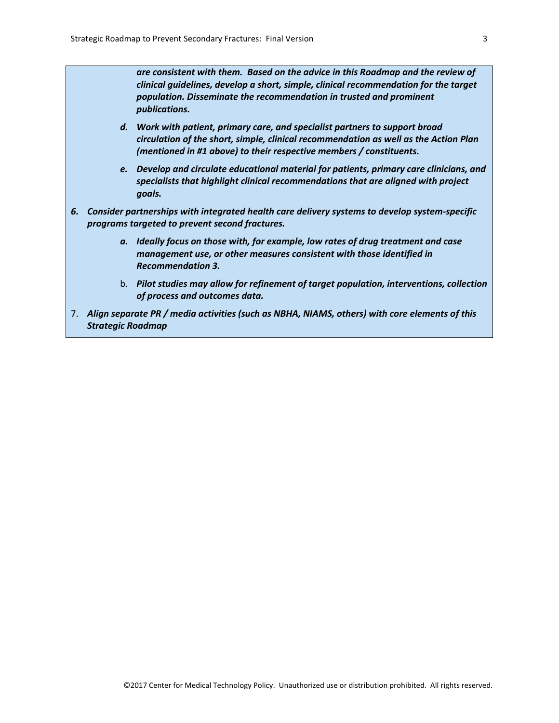*are consistent with them. Based on the advice in this Roadmap and the review of clinical guidelines, develop a short, simple, clinical recommendation for the target population. Disseminate the recommendation in trusted and prominent publications.*

- *d. Work with patient, primary care, and specialist partners to support broad circulation of the short, simple, clinical recommendation as well as the Action Plan (mentioned in #1 above) to their respective members / constituents.*
- *e. Develop and circulate educational material for patients, primary care clinicians, and specialists that highlight clinical recommendations that are aligned with project goals.*
- *6. Consider partnerships with integrated health care delivery systems to develop system-specific programs targeted to prevent second fractures.*
	- *a. Ideally focus on those with, for example, low rates of drug treatment and case management use, or other measures consistent with those identified in Recommendation 3.*
	- b. *Pilot studies may allow for refinement of target population, interventions, collection of process and outcomes data.*
- 7. *Align separate PR / media activities (such as NBHA, NIAMS, others) with core elements of this Strategic Roadmap*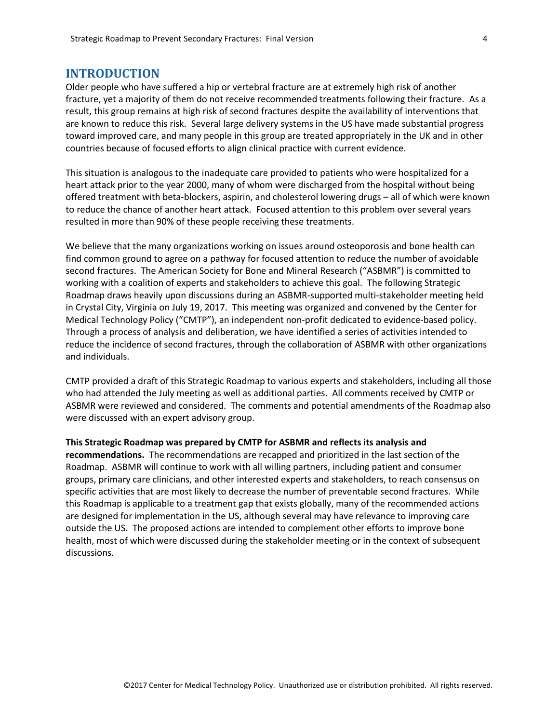#### <span id="page-4-0"></span>**INTRODUCTION**

Older people who have suffered a hip or vertebral fracture are at extremely high risk of another fracture, yet a majority of them do not receive recommended treatments following their fracture. As a result, this group remains at high risk of second fractures despite the availability of interventions that are known to reduce this risk. Several large delivery systems in the US have made substantial progress toward improved care, and many people in this group are treated appropriately in the UK and in other countries because of focused efforts to align clinical practice with current evidence.

This situation is analogous to the inadequate care provided to patients who were hospitalized for a heart attack prior to the year 2000, many of whom were discharged from the hospital without being offered treatment with beta-blockers, aspirin, and cholesterol lowering drugs – all of which were known to reduce the chance of another heart attack. Focused attention to this problem over several years resulted in more than 90% of these people receiving these treatments.

We believe that the many organizations working on issues around osteoporosis and bone health can find common ground to agree on a pathway for focused attention to reduce the number of avoidable second fractures. The American Society for Bone and Mineral Research ("ASBMR") is committed to working with a coalition of experts and stakeholders to achieve this goal. The following Strategic Roadmap draws heavily upon discussions during an ASBMR-supported multi-stakeholder meeting held in Crystal City, Virginia on July 19, 2017. This meeting was organized and convened by the Center for Medical Technology Policy ("CMTP"), an independent non-profit dedicated to evidence-based policy. Through a process of analysis and deliberation, we have identified a series of activities intended to reduce the incidence of second fractures, through the collaboration of ASBMR with other organizations and individuals.

CMTP provided a draft of this Strategic Roadmap to various experts and stakeholders, including all those who had attended the July meeting as well as additional parties. All comments received by CMTP or ASBMR were reviewed and considered. The comments and potential amendments of the Roadmap also were discussed with an expert advisory group.

#### **This Strategic Roadmap was prepared by CMTP for ASBMR and reflects its analysis and**

**recommendations.** The recommendations are recapped and prioritized in the last section of the Roadmap. ASBMR will continue to work with all willing partners, including patient and consumer groups, primary care clinicians, and other interested experts and stakeholders, to reach consensus on specific activities that are most likely to decrease the number of preventable second fractures. While this Roadmap is applicable to a treatment gap that exists globally, many of the recommended actions are designed for implementation in the US, although several may have relevance to improving care outside the US. The proposed actions are intended to complement other efforts to improve bone health, most of which were discussed during the stakeholder meeting or in the context of subsequent discussions.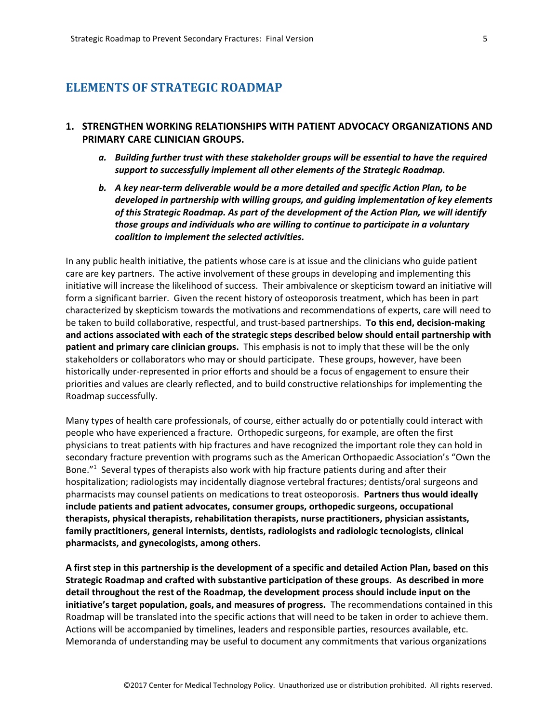## <span id="page-5-0"></span>**ELEMENTS OF STRATEGIC ROADMAP**

## <span id="page-5-1"></span>**1. STRENGTHEN WORKING RELATIONSHIPS WITH PATIENT ADVOCACY ORGANIZATIONS AND PRIMARY CARE CLINICIAN GROUPS.**

- *a. Building further trust with these stakeholder groups will be essential to have the required support to successfully implement all other elements of the Strategic Roadmap.*
- *b. A key near-term deliverable would be a more detailed and specific Action Plan, to be developed in partnership with willing groups, and guiding implementation of key elements of this Strategic Roadmap. As part of the development of the Action Plan, we will identify those groups and individuals who are willing to continue to participate in a voluntary coalition to implement the selected activities.*

In any public health initiative, the patients whose care is at issue and the clinicians who guide patient care are key partners. The active involvement of these groups in developing and implementing this initiative will increase the likelihood of success. Their ambivalence or skepticism toward an initiative will form a significant barrier. Given the recent history of osteoporosis treatment, which has been in part characterized by skepticism towards the motivations and recommendations of experts, care will need to be taken to build collaborative, respectful, and trust-based partnerships. **To this end, decision-making and actions associated with each of the strategic steps described below should entail partnership with patient and primary care clinician groups.** This emphasis is not to imply that these will be the only stakeholders or collaborators who may or should participate. These groups, however, have been historically under-represented in prior efforts and should be a focus of engagement to ensure their priorities and values are clearly reflected, and to build constructive relationships for implementing the Roadmap successfully.

Many types of health care professionals, of course, either actually do or potentially could interact with people who have experienced a fracture. Orthopedic surgeons, for example, are often the first physicians to treat patients with hip fractures and have recognized the important role they can hold in secondary fracture prevention with programs such as the American Orthopaedic Association's "Own the Bone."<sup>1</sup> Several types of therapists also work with hip fracture patients during and after their hospitalization; radiologists may incidentally diagnose vertebral fractures; dentists/oral surgeons and pharmacists may counsel patients on medications to treat osteoporosis. **Partners thus would ideally include patients and patient advocates, consumer groups, orthopedic surgeons, occupational therapists, physical therapists, rehabilitation therapists, nurse practitioners, physician assistants, family practitioners, general internists, dentists, radiologists and radiologic tecnologists, clinical pharmacists, and gynecologists, among others.**

**A first step in this partnership is the development of a specific and detailed Action Plan, based on this Strategic Roadmap and crafted with substantive participation of these groups. As described in more detail throughout the rest of the Roadmap, the development process should include input on the initiative's target population, goals, and measures of progress.** The recommendations contained in this Roadmap will be translated into the specific actions that will need to be taken in order to achieve them. Actions will be accompanied by timelines, leaders and responsible parties, resources available, etc. Memoranda of understanding may be useful to document any commitments that various organizations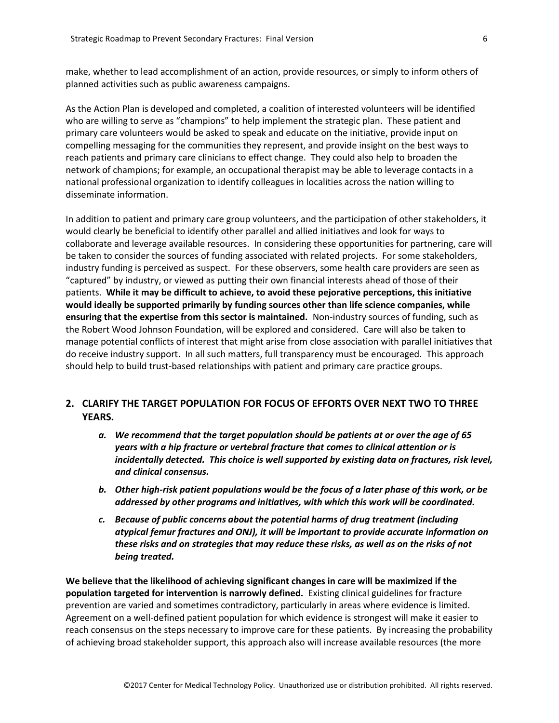make, whether to lead accomplishment of an action, provide resources, or simply to inform others of planned activities such as public awareness campaigns.

As the Action Plan is developed and completed, a coalition of interested volunteers will be identified who are willing to serve as "champions" to help implement the strategic plan. These patient and primary care volunteers would be asked to speak and educate on the initiative, provide input on compelling messaging for the communities they represent, and provide insight on the best ways to reach patients and primary care clinicians to effect change. They could also help to broaden the network of champions; for example, an occupational therapist may be able to leverage contacts in a national professional organization to identify colleagues in localities across the nation willing to disseminate information.

In addition to patient and primary care group volunteers, and the participation of other stakeholders, it would clearly be beneficial to identify other parallel and allied initiatives and look for ways to collaborate and leverage available resources. In considering these opportunities for partnering, care will be taken to consider the sources of funding associated with related projects. For some stakeholders, industry funding is perceived as suspect. For these observers, some health care providers are seen as "captured" by industry, or viewed as putting their own financial interests ahead of those of their patients. **While it may be difficult to achieve, to avoid these pejorative perceptions, this initiative would ideally be supported primarily by funding sources other than life science companies, while ensuring that the expertise from this sector is maintained.** Non-industry sources of funding, such as the Robert Wood Johnson Foundation, will be explored and considered. Care will also be taken to manage potential conflicts of interest that might arise from close association with parallel initiatives that do receive industry support. In all such matters, full transparency must be encouraged. This approach should help to build trust-based relationships with patient and primary care practice groups.

#### <span id="page-6-0"></span>**2. CLARIFY THE TARGET POPULATION FOR FOCUS OF EFFORTS OVER NEXT TWO TO THREE YEARS.**

- *a. We recommend that the target population should be patients at or over the age of 65 years with a hip fracture or vertebral fracture that comes to clinical attention or is incidentally detected. This choice is well supported by existing data on fractures, risk level, and clinical consensus.*
- *b. Other high-risk patient populations would be the focus of a later phase of this work, or be addressed by other programs and initiatives, with which this work will be coordinated.*
- *c. Because of public concerns about the potential harms of drug treatment (including atypical femur fractures and ONJ), it will be important to provide accurate information on these risks and on strategies that may reduce these risks, as well as on the risks of not being treated.*

**We believe that the likelihood of achieving significant changes in care will be maximized if the population targeted for intervention is narrowly defined.** Existing clinical guidelines for fracture prevention are varied and sometimes contradictory, particularly in areas where evidence is limited. Agreement on a well-defined patient population for which evidence is strongest will make it easier to reach consensus on the steps necessary to improve care for these patients. By increasing the probability of achieving broad stakeholder support, this approach also will increase available resources (the more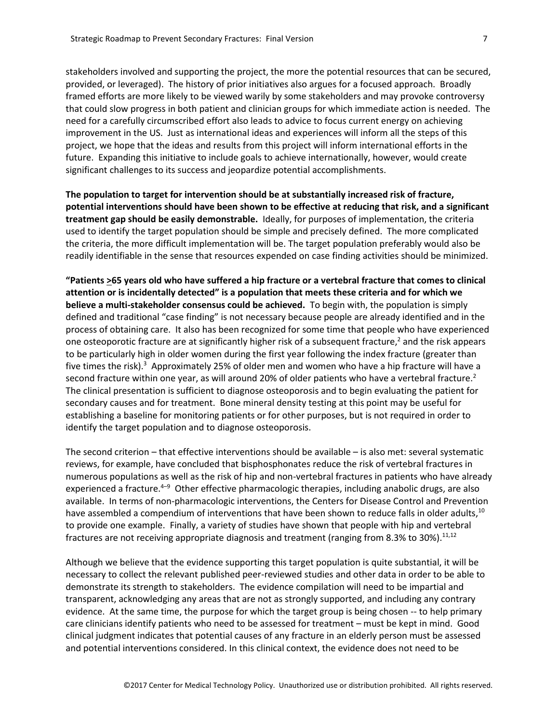stakeholders involved and supporting the project, the more the potential resources that can be secured, provided, or leveraged). The history of prior initiatives also argues for a focused approach. Broadly framed efforts are more likely to be viewed warily by some stakeholders and may provoke controversy that could slow progress in both patient and clinician groups for which immediate action is needed. The need for a carefully circumscribed effort also leads to advice to focus current energy on achieving improvement in the US. Just as international ideas and experiences will inform all the steps of this project, we hope that the ideas and results from this project will inform international efforts in the future. Expanding this initiative to include goals to achieve internationally, however, would create significant challenges to its success and jeopardize potential accomplishments.

**The population to target for intervention should be at substantially increased risk of fracture, potential interventions should have been shown to be effective at reducing that risk, and a significant treatment gap should be easily demonstrable.** Ideally, for purposes of implementation, the criteria used to identify the target population should be simple and precisely defined. The more complicated the criteria, the more difficult implementation will be. The target population preferably would also be readily identifiable in the sense that resources expended on case finding activities should be minimized.

**"Patients >65 years old who have suffered a hip fracture or a vertebral fracture that comes to clinical attention or is incidentally detected" is a population that meets these criteria and for which we believe a multi-stakeholder consensus could be achieved.** To begin with, the population is simply defined and traditional "case finding" is not necessary because people are already identified and in the process of obtaining care. It also has been recognized for some time that people who have experienced one osteoporotic fracture are at significantly higher risk of a subsequent fracture, <sup>2</sup> and the risk appears to be particularly high in older women during the first year following the index fracture (greater than five times the risk).<sup>3</sup> Approximately 25% of older men and women who have a hip fracture will have a second fracture within one year, as will around 20% of older patients who have a vertebral fracture.<sup>2</sup> The clinical presentation is sufficient to diagnose osteoporosis and to begin evaluating the patient for secondary causes and for treatment. Bone mineral density testing at this point may be useful for establishing a baseline for monitoring patients or for other purposes, but is not required in order to identify the target population and to diagnose osteoporosis.

The second criterion – that effective interventions should be available – is also met: several systematic reviews, for example, have concluded that bisphosphonates reduce the risk of vertebral fractures in numerous populations as well as the risk of hip and non-vertebral fractures in patients who have already experienced a fracture.<sup>4–9</sup> Other effective pharmacologic therapies, including anabolic drugs, are also available. In terms of non-pharmacologic interventions, the Centers for Disease Control and Prevention have assembled a compendium of interventions that have been shown to reduce falls in older adults,  $^{10}$ to provide one example. Finally, a variety of studies have shown that people with hip and vertebral fractures are not receiving appropriate diagnosis and treatment (ranging from 8.3% to 30%). $^{11,12}$ 

Although we believe that the evidence supporting this target population is quite substantial, it will be necessary to collect the relevant published peer-reviewed studies and other data in order to be able to demonstrate its strength to stakeholders. The evidence compilation will need to be impartial and transparent, acknowledging any areas that are not as strongly supported, and including any contrary evidence. At the same time, the purpose for which the target group is being chosen -- to help primary care clinicians identify patients who need to be assessed for treatment – must be kept in mind. Good clinical judgment indicates that potential causes of any fracture in an elderly person must be assessed and potential interventions considered. In this clinical context, the evidence does not need to be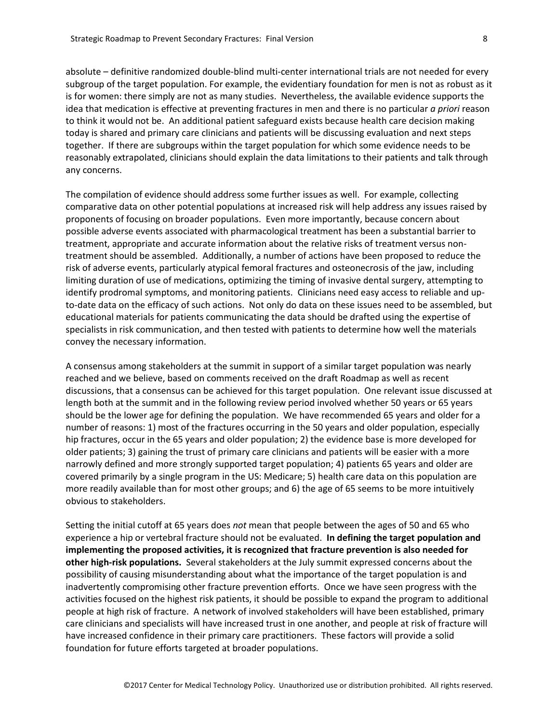absolute – definitive randomized double-blind multi-center international trials are not needed for every subgroup of the target population. For example, the evidentiary foundation for men is not as robust as it is for women: there simply are not as many studies. Nevertheless, the available evidence supports the idea that medication is effective at preventing fractures in men and there is no particular *a priori* reason to think it would not be. An additional patient safeguard exists because health care decision making today is shared and primary care clinicians and patients will be discussing evaluation and next steps together. If there are subgroups within the target population for which some evidence needs to be reasonably extrapolated, clinicians should explain the data limitations to their patients and talk through any concerns.

The compilation of evidence should address some further issues as well. For example, collecting comparative data on other potential populations at increased risk will help address any issues raised by proponents of focusing on broader populations. Even more importantly, because concern about possible adverse events associated with pharmacological treatment has been a substantial barrier to treatment, appropriate and accurate information about the relative risks of treatment versus nontreatment should be assembled. Additionally, a number of actions have been proposed to reduce the risk of adverse events, particularly atypical femoral fractures and osteonecrosis of the jaw, including limiting duration of use of medications, optimizing the timing of invasive dental surgery, attempting to identify prodromal symptoms, and monitoring patients. Clinicians need easy access to reliable and upto-date data on the efficacy of such actions. Not only do data on these issues need to be assembled, but educational materials for patients communicating the data should be drafted using the expertise of specialists in risk communication, and then tested with patients to determine how well the materials convey the necessary information.

A consensus among stakeholders at the summit in support of a similar target population was nearly reached and we believe, based on comments received on the draft Roadmap as well as recent discussions, that a consensus can be achieved for this target population. One relevant issue discussed at length both at the summit and in the following review period involved whether 50 years or 65 years should be the lower age for defining the population. We have recommended 65 years and older for a number of reasons: 1) most of the fractures occurring in the 50 years and older population, especially hip fractures, occur in the 65 years and older population; 2) the evidence base is more developed for older patients; 3) gaining the trust of primary care clinicians and patients will be easier with a more narrowly defined and more strongly supported target population; 4) patients 65 years and older are covered primarily by a single program in the US: Medicare; 5) health care data on this population are more readily available than for most other groups; and 6) the age of 65 seems to be more intuitively obvious to stakeholders.

Setting the initial cutoff at 65 years does *not* mean that people between the ages of 50 and 65 who experience a hip or vertebral fracture should not be evaluated. **In defining the target population and implementing the proposed activities, it is recognized that fracture prevention is also needed for other high-risk populations.** Several stakeholders at the July summit expressed concerns about the possibility of causing misunderstanding about what the importance of the target population is and inadvertently compromising other fracture prevention efforts. Once we have seen progress with the activities focused on the highest risk patients, it should be possible to expand the program to additional people at high risk of fracture. A network of involved stakeholders will have been established, primary care clinicians and specialists will have increased trust in one another, and people at risk of fracture will have increased confidence in their primary care practitioners. These factors will provide a solid foundation for future efforts targeted at broader populations.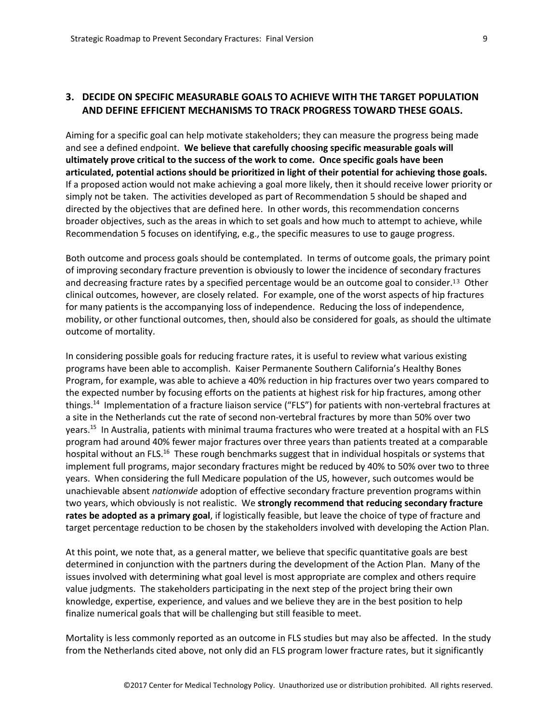## <span id="page-9-0"></span>**3. DECIDE ON SPECIFIC MEASURABLE GOALS TO ACHIEVE WITH THE TARGET POPULATION AND DEFINE EFFICIENT MECHANISMS TO TRACK PROGRESS TOWARD THESE GOALS.**

Aiming for a specific goal can help motivate stakeholders; they can measure the progress being made and see a defined endpoint. **We believe that carefully choosing specific measurable goals will ultimately prove critical to the success of the work to come. Once specific goals have been articulated, potential actions should be prioritized in light of their potential for achieving those goals.**  If a proposed action would not make achieving a goal more likely, then it should receive lower priority or simply not be taken. The activities developed as part of Recommendation 5 should be shaped and directed by the objectives that are defined here. In other words, this recommendation concerns broader objectives, such as the areas in which to set goals and how much to attempt to achieve, while Recommendation 5 focuses on identifying, e.g., the specific measures to use to gauge progress.

Both outcome and process goals should be contemplated. In terms of outcome goals, the primary point of improving secondary fracture prevention is obviously to lower the incidence of secondary fractures and decreasing fracture rates by a specified percentage would be an outcome goal to consider.13 Other clinical outcomes, however, are closely related. For example, one of the worst aspects of hip fractures for many patients is the accompanying loss of independence. Reducing the loss of independence, mobility, or other functional outcomes, then, should also be considered for goals, as should the ultimate outcome of mortality.

In considering possible goals for reducing fracture rates, it is useful to review what various existing programs have been able to accomplish. Kaiser Permanente Southern California's Healthy Bones Program, for example, was able to achieve a 40% reduction in hip fractures over two years compared to the expected number by focusing efforts on the patients at highest risk for hip fractures, among other things.<sup>14</sup> Implementation of a fracture liaison service ("FLS") for patients with non-vertebral fractures at a site in the Netherlands cut the rate of second non-vertebral fractures by more than 50% over two years.<sup>15</sup> In Australia, patients with minimal trauma fractures who were treated at a hospital with an FLS program had around 40% fewer major fractures over three years than patients treated at a comparable hospital without an FLS.<sup>16</sup> These rough benchmarks suggest that in individual hospitals or systems that implement full programs, major secondary fractures might be reduced by 40% to 50% over two to three years. When considering the full Medicare population of the US, however, such outcomes would be unachievable absent *nationwide* adoption of effective secondary fracture prevention programs within two years, which obviously is not realistic. We **strongly recommend that reducing secondary fracture rates be adopted as a primary goal**, if logistically feasible, but leave the choice of type of fracture and target percentage reduction to be chosen by the stakeholders involved with developing the Action Plan.

At this point, we note that, as a general matter, we believe that specific quantitative goals are best determined in conjunction with the partners during the development of the Action Plan. Many of the issues involved with determining what goal level is most appropriate are complex and others require value judgments. The stakeholders participating in the next step of the project bring their own knowledge, expertise, experience, and values and we believe they are in the best position to help finalize numerical goals that will be challenging but still feasible to meet.

Mortality is less commonly reported as an outcome in FLS studies but may also be affected. In the study from the Netherlands cited above, not only did an FLS program lower fracture rates, but it significantly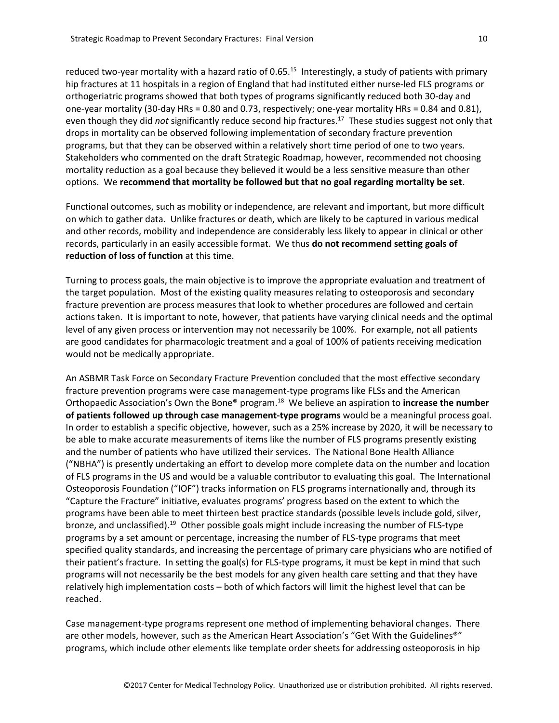reduced two-year mortality with a hazard ratio of 0.65.<sup>15</sup> Interestingly, a study of patients with primary hip fractures at 11 hospitals in a region of England that had instituted either nurse-led FLS programs or orthogeriatric programs showed that both types of programs significantly reduced both 30-day and one-year mortality (30-day HRs = 0.80 and 0.73, respectively; one-year mortality HRs = 0.84 and 0.81), even though they did *not* significantly reduce second hip fractures.<sup>17</sup> These studies suggest not only that drops in mortality can be observed following implementation of secondary fracture prevention programs, but that they can be observed within a relatively short time period of one to two years. Stakeholders who commented on the draft Strategic Roadmap, however, recommended not choosing mortality reduction as a goal because they believed it would be a less sensitive measure than other options. We **recommend that mortality be followed but that no goal regarding mortality be set**.

Functional outcomes, such as mobility or independence, are relevant and important, but more difficult on which to gather data. Unlike fractures or death, which are likely to be captured in various medical and other records, mobility and independence are considerably less likely to appear in clinical or other records, particularly in an easily accessible format. We thus **do not recommend setting goals of reduction of loss of function** at this time.

Turning to process goals, the main objective is to improve the appropriate evaluation and treatment of the target population. Most of the existing quality measures relating to osteoporosis and secondary fracture prevention are process measures that look to whether procedures are followed and certain actions taken. It is important to note, however, that patients have varying clinical needs and the optimal level of any given process or intervention may not necessarily be 100%. For example, not all patients are good candidates for pharmacologic treatment and a goal of 100% of patients receiving medication would not be medically appropriate.

An ASBMR Task Force on Secondary Fracture Prevention concluded that the most effective secondary fracture prevention programs were case management-type programs like FLSs and the American Orthopaedic Association's Own the Bone® program.<sup>18</sup> We believe an aspiration to **increase the number of patients followed up through case management-type programs** would be a meaningful process goal. In order to establish a specific objective, however, such as a 25% increase by 2020, it will be necessary to be able to make accurate measurements of items like the number of FLS programs presently existing and the number of patients who have utilized their services. The National Bone Health Alliance ("NBHA") is presently undertaking an effort to develop more complete data on the number and location of FLS programs in the US and would be a valuable contributor to evaluating this goal. The International Osteoporosis Foundation ("IOF") tracks information on FLS programs internationally and, through its "Capture the Fracture" initiative, evaluates programs' progress based on the extent to which the programs have been able to meet thirteen best practice standards (possible levels include gold, silver, bronze, and unclassified).<sup>19</sup> Other possible goals might include increasing the number of FLS-type programs by a set amount or percentage, increasing the number of FLS-type programs that meet specified quality standards, and increasing the percentage of primary care physicians who are notified of their patient's fracture. In setting the goal(s) for FLS-type programs, it must be kept in mind that such programs will not necessarily be the best models for any given health care setting and that they have relatively high implementation costs – both of which factors will limit the highest level that can be reached.

Case management-type programs represent one method of implementing behavioral changes. There are other models, however, such as the American Heart Association's "Get With the Guidelines®" programs, which include other elements like template order sheets for addressing osteoporosis in hip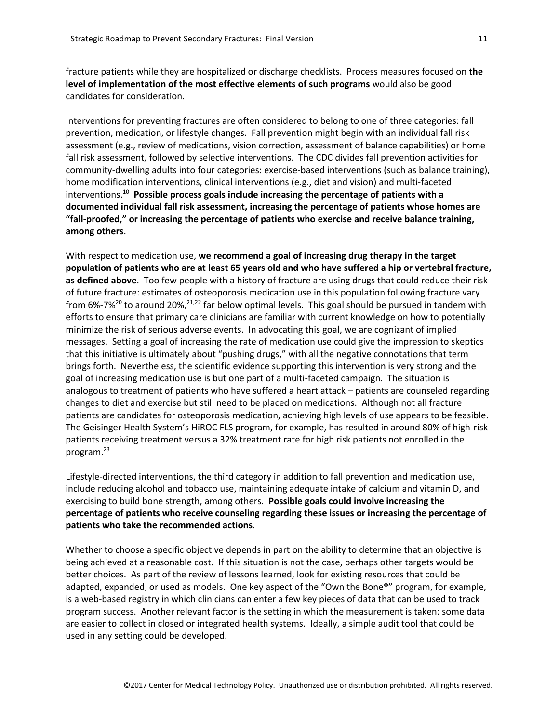fracture patients while they are hospitalized or discharge checklists. Process measures focused on **the level of implementation of the most effective elements of such programs** would also be good candidates for consideration.

Interventions for preventing fractures are often considered to belong to one of three categories: fall prevention, medication, or lifestyle changes. Fall prevention might begin with an individual fall risk assessment (e.g., review of medications, vision correction, assessment of balance capabilities) or home fall risk assessment, followed by selective interventions. The CDC divides fall prevention activities for community-dwelling adults into four categories: exercise-based interventions (such as balance training), home modification interventions, clinical interventions (e.g., diet and vision) and multi-faceted interventions.<sup>10</sup> **Possible process goals include increasing the percentage of patients with a documented individual fall risk assessment, increasing the percentage of patients whose homes are "fall-proofed," or increasing the percentage of patients who exercise and receive balance training, among others**.

With respect to medication use, **we recommend a goal of increasing drug therapy in the target population of patients who are at least 65 years old and who have suffered a hip or vertebral fracture, as defined above**. Too few people with a history of fracture are using drugs that could reduce their risk of future fracture: estimates of osteoporosis medication use in this population following fracture vary from 6%-7%<sup>20</sup> to around 20%,<sup>21,22</sup> far below optimal levels. This goal should be pursued in tandem with efforts to ensure that primary care clinicians are familiar with current knowledge on how to potentially minimize the risk of serious adverse events. In advocating this goal, we are cognizant of implied messages. Setting a goal of increasing the rate of medication use could give the impression to skeptics that this initiative is ultimately about "pushing drugs," with all the negative connotations that term brings forth. Nevertheless, the scientific evidence supporting this intervention is very strong and the goal of increasing medication use is but one part of a multi-faceted campaign. The situation is analogous to treatment of patients who have suffered a heart attack – patients are counseled regarding changes to diet and exercise but still need to be placed on medications. Although not all fracture patients are candidates for osteoporosis medication, achieving high levels of use appears to be feasible. The Geisinger Health System's HiROC FLS program, for example, has resulted in around 80% of high-risk patients receiving treatment versus a 32% treatment rate for high risk patients not enrolled in the program.<sup>23</sup>

Lifestyle-directed interventions, the third category in addition to fall prevention and medication use, include reducing alcohol and tobacco use, maintaining adequate intake of calcium and vitamin D, and exercising to build bone strength, among others. **Possible goals could involve increasing the percentage of patients who receive counseling regarding these issues or increasing the percentage of patients who take the recommended actions**.

Whether to choose a specific objective depends in part on the ability to determine that an objective is being achieved at a reasonable cost. If this situation is not the case, perhaps other targets would be better choices. As part of the review of lessons learned, look for existing resources that could be adapted, expanded, or used as models. One key aspect of the "Own the Bone®" program, for example, is a web-based registry in which clinicians can enter a few key pieces of data that can be used to track program success. Another relevant factor is the setting in which the measurement is taken: some data are easier to collect in closed or integrated health systems. Ideally, a simple audit tool that could be used in any setting could be developed.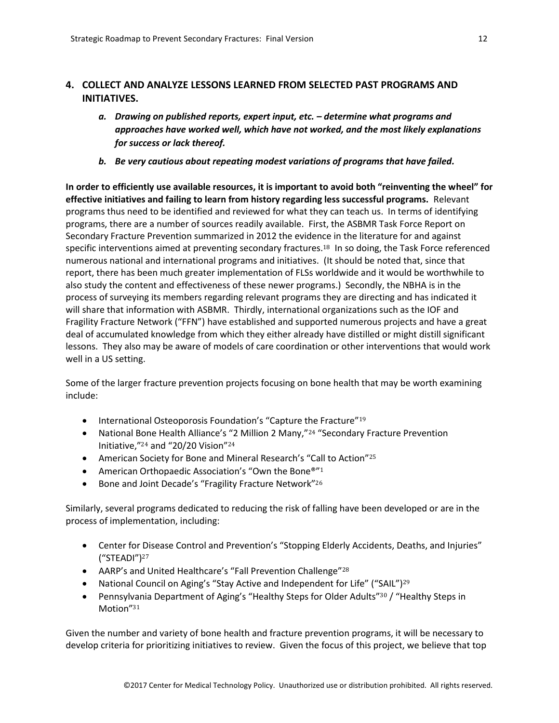## <span id="page-12-0"></span>**4. COLLECT AND ANALYZE LESSONS LEARNED FROM SELECTED PAST PROGRAMS AND INITIATIVES.**

- *a. Drawing on published reports, expert input, etc. – determine what programs and approaches have worked well, which have not worked, and the most likely explanations for success or lack thereof.*
- *b. Be very cautious about repeating modest variations of programs that have failed.*

**In order to efficiently use available resources, it is important to avoid both "reinventing the wheel" for effective initiatives and failing to learn from history regarding less successful programs.** Relevant programs thus need to be identified and reviewed for what they can teach us. In terms of identifying programs, there are a number of sources readily available. First, the ASBMR Task Force Report on Secondary Fracture Prevention summarized in 2012 the evidence in the literature for and against specific interventions aimed at preventing secondary fractures.<sup>18</sup> In so doing, the Task Force referenced numerous national and international programs and initiatives. (It should be noted that, since that report, there has been much greater implementation of FLSs worldwide and it would be worthwhile to also study the content and effectiveness of these newer programs.) Secondly, the NBHA is in the process of surveying its members regarding relevant programs they are directing and has indicated it will share that information with ASBMR. Thirdly, international organizations such as the IOF and Fragility Fracture Network ("FFN") have established and supported numerous projects and have a great deal of accumulated knowledge from which they either already have distilled or might distill significant lessons. They also may be aware of models of care coordination or other interventions that would work well in a US setting.

Some of the larger fracture prevention projects focusing on bone health that may be worth examining include:

- International Osteoporosis Foundation's "Capture the Fracture"<sup>19</sup>
- National Bone Health Alliance's "2 Million 2 Many,"<sup>24</sup> "Secondary Fracture Prevention Initiative,"<sup>24</sup> and "20/20 Vision"<sup>24</sup>
- American Society for Bone and Mineral Research's "Call to Action"<sup>25</sup>
- American Orthopaedic Association's "Own the Bone®"<sup>1</sup>
- Bone and Joint Decade's "Fragility Fracture Network"<sup>26</sup>

Similarly, several programs dedicated to reducing the risk of falling have been developed or are in the process of implementation, including:

- Center for Disease Control and Prevention's "Stopping Elderly Accidents, Deaths, and Injuries" ("STEADI")<sup>27</sup>
- AARP's and United Healthcare's "Fall Prevention Challenge"<sup>28</sup>
- National Council on Aging's "Stay Active and Independent for Life" ("SAIL")<sup>29</sup>
- Pennsylvania Department of Aging's "Healthy Steps for Older Adults"<sup>30</sup> / "Healthy Steps in Motion"<sup>31</sup>

Given the number and variety of bone health and fracture prevention programs, it will be necessary to develop criteria for prioritizing initiatives to review. Given the focus of this project, we believe that top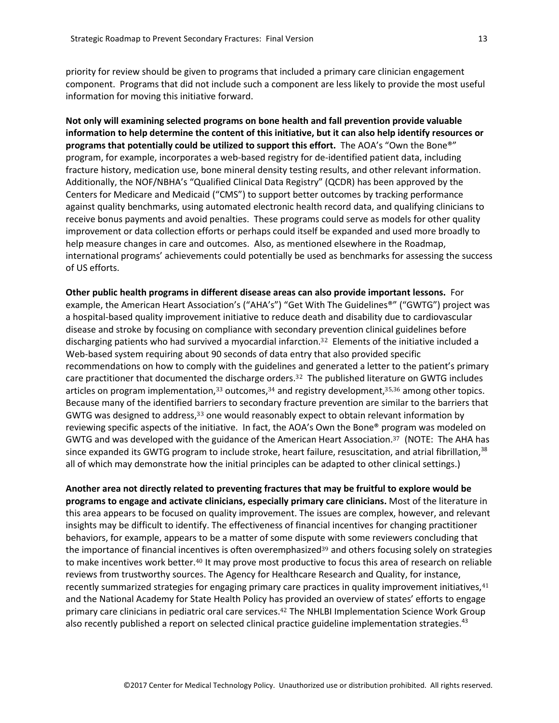priority for review should be given to programs that included a primary care clinician engagement component. Programs that did not include such a component are less likely to provide the most useful information for moving this initiative forward.

**Not only will examining selected programs on bone health and fall prevention provide valuable information to help determine the content of this initiative, but it can also help identify resources or programs that potentially could be utilized to support this effort.** The AOA's "Own the Bone®" program, for example, incorporates a web-based registry for de-identified patient data, including fracture history, medication use, bone mineral density testing results, and other relevant information. Additionally, the NOF/NBHA's "Qualified Clinical Data Registry" (QCDR) has been approved by the Centers for Medicare and Medicaid ("CMS") to support better outcomes by tracking performance against quality benchmarks, using automated electronic health record data, and qualifying clinicians to receive bonus payments and avoid penalties. These programs could serve as models for other quality improvement or data collection efforts or perhaps could itself be expanded and used more broadly to help measure changes in care and outcomes. Also, as mentioned elsewhere in the Roadmap, international programs' achievements could potentially be used as benchmarks for assessing the success of US efforts.

**Other public health programs in different disease areas can also provide important lessons.** For example, the American Heart Association's ("AHA's") "Get With The Guidelines®" ("GWTG") project was a hospital-based quality improvement initiative to reduce death and disability due to cardiovascular disease and stroke by focusing on compliance with secondary prevention clinical guidelines before discharging patients who had survived a myocardial infarction.<sup>32</sup> Elements of the initiative included a Web-based system requiring about 90 seconds of data entry that also provided specific recommendations on how to comply with the guidelines and generated a letter to the patient's primary care practitioner that documented the discharge orders.<sup>32</sup> The published literature on GWTG includes articles on program implementation, $33$  outcomes, $34$  and registry development, $35,36$  among other topics. Because many of the identified barriers to secondary fracture prevention are similar to the barriers that GWTG was designed to address,<sup>33</sup> one would reasonably expect to obtain relevant information by reviewing specific aspects of the initiative. In fact, the AOA's Own the Bone® program was modeled on GWTG and was developed with the guidance of the American Heart Association.37 (NOTE: The AHA has since expanded its GWTG program to include stroke, heart failure, resuscitation, and atrial fibrillation, $38$ all of which may demonstrate how the initial principles can be adapted to other clinical settings.)

**Another area not directly related to preventing fractures that may be fruitful to explore would be programs to engage and activate clinicians, especially primary care clinicians.** Most of the literature in this area appears to be focused on quality improvement. The issues are complex, however, and relevant insights may be difficult to identify. The effectiveness of financial incentives for changing practitioner behaviors, for example, appears to be a matter of some dispute with some reviewers concluding that the importance of financial incentives is often overemphasized<sup>39</sup> and others focusing solely on strategies to make incentives work better.<sup>40</sup> It may prove most productive to focus this area of research on reliable reviews from trustworthy sources. The Agency for Healthcare Research and Quality, for instance, recently summarized strategies for engaging primary care practices in quality improvement initiatives, 41 and the National Academy for State Health Policy has provided an overview of states' efforts to engage primary care clinicians in pediatric oral care services.<sup>42</sup> The NHLBI Implementation Science Work Group also recently published a report on selected clinical practice guideline implementation strategies.<sup>43</sup>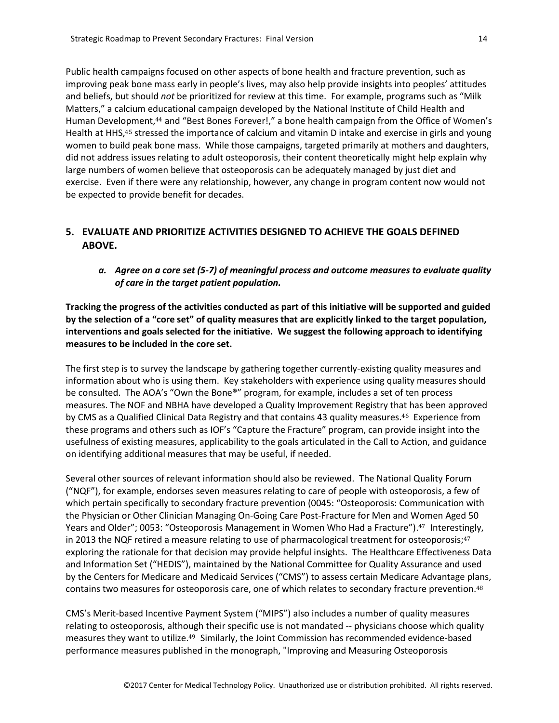Public health campaigns focused on other aspects of bone health and fracture prevention, such as improving peak bone mass early in people's lives, may also help provide insights into peoples' attitudes and beliefs, but should *not* be prioritized for review at this time. For example, programs such as "Milk Matters," a calcium educational campaign developed by the National Institute of Child Health and Human Development,<sup>44</sup> and "Best Bones Forever!," a bone health campaign from the Office of Women's Health at HHS,<sup>45</sup> stressed the importance of calcium and vitamin D intake and exercise in girls and young women to build peak bone mass. While those campaigns, targeted primarily at mothers and daughters, did not address issues relating to adult osteoporosis, their content theoretically might help explain why large numbers of women believe that osteoporosis can be adequately managed by just diet and exercise. Even if there were any relationship, however, any change in program content now would not be expected to provide benefit for decades.

## <span id="page-14-0"></span>**5. EVALUATE AND PRIORITIZE ACTIVITIES DESIGNED TO ACHIEVE THE GOALS DEFINED ABOVE.**

*a. Agree on a core set (5-7) of meaningful process and outcome measures to evaluate quality of care in the target patient population.*

**Tracking the progress of the activities conducted as part of this initiative will be supported and guided by the selection of a "core set" of quality measures that are explicitly linked to the target population, interventions and goals selected for the initiative. We suggest the following approach to identifying measures to be included in the core set.** 

The first step is to survey the landscape by gathering together currently-existing quality measures and information about who is using them. Key stakeholders with experience using quality measures should be consulted. The AOA's "Own the Bone®" program, for example, includes a set of ten process measures. The NOF and NBHA have developed a Quality Improvement Registry that has been approved by CMS as a Qualified Clinical Data Registry and that contains 43 quality measures.46 Experience from these programs and others such as IOF's "Capture the Fracture" program, can provide insight into the usefulness of existing measures, applicability to the goals articulated in the Call to Action, and guidance on identifying additional measures that may be useful, if needed.

Several other sources of relevant information should also be reviewed. The National Quality Forum ("NQF"), for example, endorses seven measures relating to care of people with osteoporosis, a few of which pertain specifically to secondary fracture prevention (0045: "Osteoporosis: Communication with the Physician or Other Clinician Managing On-Going Care Post-Fracture for Men and Women Aged 50 Years and Older"; 0053: "Osteoporosis Management in Women Who Had a Fracture"). <sup>47</sup> Interestingly, in 2013 the NQF retired a measure relating to use of pharmacological treatment for osteoporosis; $47$ exploring the rationale for that decision may provide helpful insights. The Healthcare Effectiveness Data and Information Set ("HEDIS"), maintained by the National Committee for Quality Assurance and used by the Centers for Medicare and Medicaid Services ("CMS") to assess certain Medicare Advantage plans, contains two measures for osteoporosis care, one of which relates to secondary fracture prevention.<sup>48</sup>

CMS's Merit-based Incentive Payment System ("MIPS") also includes a number of quality measures relating to osteoporosis, although their specific use is not mandated -- physicians choose which quality measures they want to utilize.<sup>49</sup> Similarly, the Joint Commission has recommended evidence-based performance measures published in the monograph, "Improving and Measuring Osteoporosis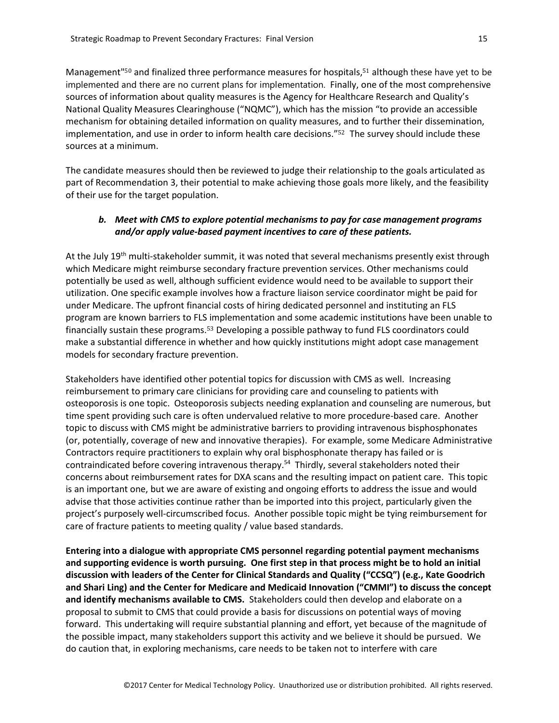Management"<sup>50</sup> and finalized three performance measures for hospitals, <sup>51</sup> although these have yet to be implemented and there are no current plans for implementation. Finally, one of the most comprehensive sources of information about quality measures is the Agency for Healthcare Research and Quality's National Quality Measures Clearinghouse ("NQMC"), which has the mission "to provide an accessible mechanism for obtaining detailed information on quality measures, and to further their dissemination, implementation, and use in order to inform health care decisions."<sup>52</sup> The survey should include these sources at a minimum.

The candidate measures should then be reviewed to judge their relationship to the goals articulated as part of Recommendation 3, their potential to make achieving those goals more likely, and the feasibility of their use for the target population.

#### *b. Meet with CMS to explore potential mechanisms to pay for case management programs and/or apply value-based payment incentives to care of these patients.*

At the July 19<sup>th</sup> multi-stakeholder summit, it was noted that several mechanisms presently exist through which Medicare might reimburse secondary fracture prevention services. Other mechanisms could potentially be used as well, although sufficient evidence would need to be available to support their utilization. One specific example involves how a fracture liaison service coordinator might be paid for under Medicare. The upfront financial costs of hiring dedicated personnel and instituting an FLS program are known barriers to FLS implementation and some academic institutions have been unable to financially sustain these programs.<sup>53</sup> Developing a possible pathway to fund FLS coordinators could make a substantial difference in whether and how quickly institutions might adopt case management models for secondary fracture prevention.

Stakeholders have identified other potential topics for discussion with CMS as well. Increasing reimbursement to primary care clinicians for providing care and counseling to patients with osteoporosis is one topic. Osteoporosis subjects needing explanation and counseling are numerous, but time spent providing such care is often undervalued relative to more procedure-based care. Another topic to discuss with CMS might be administrative barriers to providing intravenous bisphosphonates (or, potentially, coverage of new and innovative therapies). For example, some Medicare Administrative Contractors require practitioners to explain why oral bisphosphonate therapy has failed or is contraindicated before covering intravenous therapy.<sup>54</sup> Thirdly, several stakeholders noted their concerns about reimbursement rates for DXA scans and the resulting impact on patient care. This topic is an important one, but we are aware of existing and ongoing efforts to address the issue and would advise that those activities continue rather than be imported into this project, particularly given the project's purposely well-circumscribed focus. Another possible topic might be tying reimbursement for care of fracture patients to meeting quality / value based standards.

**Entering into a dialogue with appropriate CMS personnel regarding potential payment mechanisms and supporting evidence is worth pursuing. One first step in that process might be to hold an initial discussion with leaders of the Center for Clinical Standards and Quality ("CCSQ") (e.g., Kate Goodrich and Shari Ling) and the Center for Medicare and Medicaid Innovation ("CMMI") to discuss the concept and identify mechanisms available to CMS.** Stakeholders could then develop and elaborate on a proposal to submit to CMS that could provide a basis for discussions on potential ways of moving forward. This undertaking will require substantial planning and effort, yet because of the magnitude of the possible impact, many stakeholders support this activity and we believe it should be pursued. We do caution that, in exploring mechanisms, care needs to be taken not to interfere with care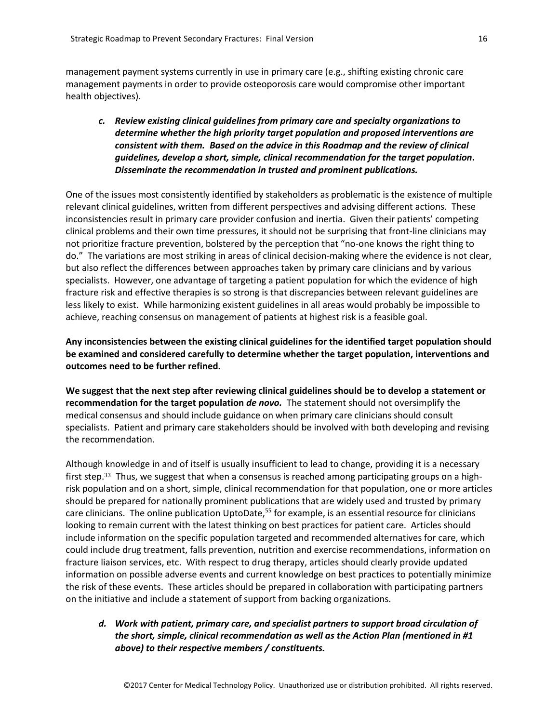management payment systems currently in use in primary care (e.g., shifting existing chronic care management payments in order to provide osteoporosis care would compromise other important health objectives).

*c. Review existing clinical guidelines from primary care and specialty organizations to determine whether the high priority target population and proposed interventions are consistent with them. Based on the advice in this Roadmap and the review of clinical guidelines, develop a short, simple, clinical recommendation for the target population. Disseminate the recommendation in trusted and prominent publications.*

One of the issues most consistently identified by stakeholders as problematic is the existence of multiple relevant clinical guidelines, written from different perspectives and advising different actions. These inconsistencies result in primary care provider confusion and inertia. Given their patients' competing clinical problems and their own time pressures, it should not be surprising that front-line clinicians may not prioritize fracture prevention, bolstered by the perception that "no-one knows the right thing to do." The variations are most striking in areas of clinical decision-making where the evidence is not clear, but also reflect the differences between approaches taken by primary care clinicians and by various specialists. However, one advantage of targeting a patient population for which the evidence of high fracture risk and effective therapies is so strong is that discrepancies between relevant guidelines are less likely to exist. While harmonizing existent guidelines in all areas would probably be impossible to achieve, reaching consensus on management of patients at highest risk is a feasible goal.

**Any inconsistencies between the existing clinical guidelines for the identified target population should be examined and considered carefully to determine whether the target population, interventions and outcomes need to be further refined.** 

**We suggest that the next step after reviewing clinical guidelines should be to develop a statement or recommendation for the target population** *de novo.* The statement should not oversimplify the medical consensus and should include guidance on when primary care clinicians should consult specialists. Patient and primary care stakeholders should be involved with both developing and revising the recommendation.

Although knowledge in and of itself is usually insufficient to lead to change, providing it is a necessary first step.<sup>33</sup> Thus, we suggest that when a consensus is reached among participating groups on a highrisk population and on a short, simple, clinical recommendation for that population, one or more articles should be prepared for nationally prominent publications that are widely used and trusted by primary care clinicians. The online publication UptoDate,<sup>55</sup> for example, is an essential resource for clinicians looking to remain current with the latest thinking on best practices for patient care. Articles should include information on the specific population targeted and recommended alternatives for care, which could include drug treatment, falls prevention, nutrition and exercise recommendations, information on fracture liaison services, etc. With respect to drug therapy, articles should clearly provide updated information on possible adverse events and current knowledge on best practices to potentially minimize the risk of these events. These articles should be prepared in collaboration with participating partners on the initiative and include a statement of support from backing organizations.

*d. Work with patient, primary care, and specialist partners to support broad circulation of the short, simple, clinical recommendation as well as the Action Plan (mentioned in #1 above) to their respective members / constituents.*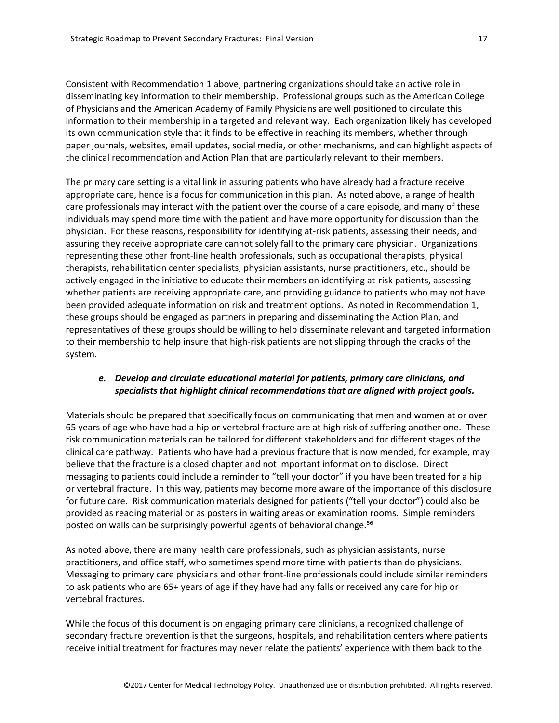Consistent with Recommendation 1 above, partnering organizations should take an active role in disseminating key information to their membership. Professional groups such as the American College of Physicians and the American Academy of Family Physicians are well positioned to circulate this information to their membership in a targeted and relevant way. Each organization likely has developed its own communication style that it finds to be effective in reaching its members, whether through paper journals, websites, email updates, social media, or other mechanisms, and can highlight aspects of the clinical recommendation and Action Plan that are particularly relevant to their members.

The primary care setting is a vital link in assuring patients who have already had a fracture receive appropriate care, hence is a focus for communication in this plan. As noted above, a range of health care professionals may interact with the patient over the course of a care episode, and many of these individuals may spend more time with the patient and have more opportunity for discussion than the physician. For these reasons, responsibility for identifying at-risk patients, assessing their needs, and assuring they receive appropriate care cannot solely fall to the primary care physician. Organizations representing these other front-line health professionals, such as occupational therapists, physical therapists, rehabilitation center specialists, physician assistants, nurse practitioners, etc., should be actively engaged in the initiative to educate their members on identifying at-risk patients, assessing whether patients are receiving appropriate care, and providing guidance to patients who may not have been provided adequate information on risk and treatment options. As noted in Recommendation 1, these groups should be engaged as partners in preparing and disseminating the Action Plan, and representatives of these groups should be willing to help disseminate relevant and targeted information to their membership to help insure that high-risk patients are not slipping through the cracks of the system.

#### *e. Develop and circulate educational material for patients, primary care clinicians, and specialists that highlight clinical recommendations that are aligned with project goals.*

Materials should be prepared that specifically focus on communicating that men and women at or over 65 years of age who have had a hip or vertebral fracture are at high risk of suffering another one. These risk communication materials can be tailored for different stakeholders and for different stages of the clinical care pathway. Patients who have had a previous fracture that is now mended, for example, may believe that the fracture is a closed chapter and not important information to disclose. Direct messaging to patients could include a reminder to "tell your doctor" if you have been treated for a hip or vertebral fracture. In this way, patients may become more aware of the importance of this disclosure for future care. Risk communication materials designed for patients ("tell your doctor") could also be provided as reading material or as posters in waiting areas or examination rooms. Simple reminders posted on walls can be surprisingly powerful agents of behavioral change.<sup>56</sup>

As noted above, there are many health care professionals, such as physician assistants, nurse practitioners, and office staff, who sometimes spend more time with patients than do physicians. Messaging to primary care physicians and other front-line professionals could include similar reminders to ask patients who are 65+ years of age if they have had any falls or received any care for hip or vertebral fractures.

While the focus of this document is on engaging primary care clinicians, a recognized challenge of secondary fracture prevention is that the surgeons, hospitals, and rehabilitation centers where patients receive initial treatment for fractures may never relate the patients' experience with them back to the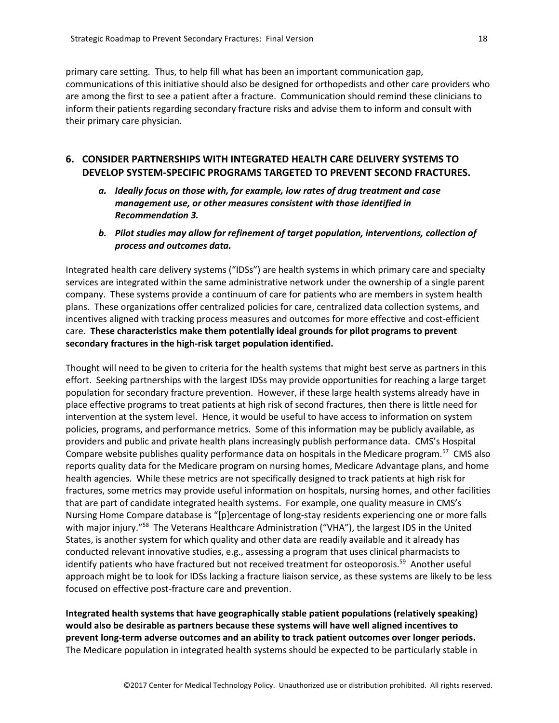primary care setting. Thus, to help fill what has been an important communication gap, communications of this initiative should also be designed for orthopedists and other care providers who are among the first to see a patient after a fracture. Communication should remind these clinicians to inform their patients regarding secondary fracture risks and advise them to inform and consult with their primary care physician.

#### <span id="page-18-0"></span>**6. CONSIDER PARTNERSHIPS WITH INTEGRATED HEALTH CARE DELIVERY SYSTEMS TO DEVELOP SYSTEM-SPECIFIC PROGRAMS TARGETED TO PREVENT SECOND FRACTURES.**

- *a. Ideally focus on those with, for example, low rates of drug treatment and case management use, or other measures consistent with those identified in Recommendation 3.*
- *b. Pilot studies may allow for refinement of target population, interventions, collection of process and outcomes data.*

Integrated health care delivery systems ("IDSs") are health systems in which primary care and specialty services are integrated within the same administrative network under the ownership of a single parent company. These systems provide a continuum of care for patients who are members in system health plans. These organizations offer centralized policies for care, centralized data collection systems, and incentives aligned with tracking process measures and outcomes for more effective and cost-efficient care. **These characteristics make them potentially ideal grounds for pilot programs to prevent secondary fractures in the high-risk target population identified.** 

Thought will need to be given to criteria for the health systems that might best serve as partners in this effort. Seeking partnerships with the largest IDSs may provide opportunities for reaching a large target population for secondary fracture prevention. However, if these large health systems already have in place effective programs to treat patients at high risk of second fractures, then there is little need for intervention at the system level. Hence, it would be useful to have access to information on system policies, programs, and performance metrics. Some of this information may be publicly available, as providers and public and private health plans increasingly publish performance data. CMS's Hospital Compare website publishes quality performance data on hospitals in the Medicare program.<sup>57</sup> CMS also reports quality data for the Medicare program on nursing homes, Medicare Advantage plans, and home health agencies. While these metrics are not specifically designed to track patients at high risk for fractures, some metrics may provide useful information on hospitals, nursing homes, and other facilities that are part of candidate integrated health systems. For example, one quality measure in CMS's Nursing Home Compare database is "[p]ercentage of long-stay residents experiencing one or more falls with major injury."<sup>58</sup> The Veterans Healthcare Administration ("VHA"), the largest IDS in the United States, is another system for which quality and other data are readily available and it already has conducted relevant innovative studies, e.g., assessing a program that uses clinical pharmacists to identify patients who have fractured but not received treatment for osteoporosis.<sup>59</sup> Another useful approach might be to look for IDSs lacking a fracture liaison service, as these systems are likely to be less focused on effective post-fracture care and prevention.

**Integrated health systems that have geographically stable patient populations (relatively speaking) would also be desirable as partners because these systems will have well aligned incentives to prevent long-term adverse outcomes and an ability to track patient outcomes over longer periods.** The Medicare population in integrated health systems should be expected to be particularly stable in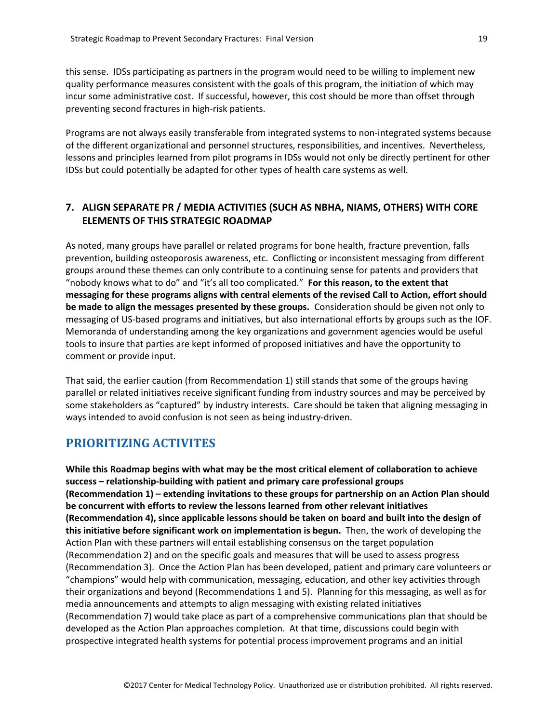this sense. IDSs participating as partners in the program would need to be willing to implement new quality performance measures consistent with the goals of this program, the initiation of which may incur some administrative cost. If successful, however, this cost should be more than offset through preventing second fractures in high-risk patients.

Programs are not always easily transferable from integrated systems to non-integrated systems because of the different organizational and personnel structures, responsibilities, and incentives. Nevertheless, lessons and principles learned from pilot programs in IDSs would not only be directly pertinent for other IDSs but could potentially be adapted for other types of health care systems as well.

## <span id="page-19-0"></span>**7. ALIGN SEPARATE PR / MEDIA ACTIVITIES (SUCH AS NBHA, NIAMS, OTHERS) WITH CORE ELEMENTS OF THIS STRATEGIC ROADMAP**

As noted, many groups have parallel or related programs for bone health, fracture prevention, falls prevention, building osteoporosis awareness, etc. Conflicting or inconsistent messaging from different groups around these themes can only contribute to a continuing sense for patents and providers that "nobody knows what to do" and "it's all too complicated." **For this reason, to the extent that messaging for these programs aligns with central elements of the revised Call to Action, effort should be made to align the messages presented by these groups.** Consideration should be given not only to messaging of US-based programs and initiatives, but also international efforts by groups such as the IOF. Memoranda of understanding among the key organizations and government agencies would be useful tools to insure that parties are kept informed of proposed initiatives and have the opportunity to comment or provide input.

That said, the earlier caution (from Recommendation 1) still stands that some of the groups having parallel or related initiatives receive significant funding from industry sources and may be perceived by some stakeholders as "captured" by industry interests. Care should be taken that aligning messaging in ways intended to avoid confusion is not seen as being industry-driven.

# <span id="page-19-1"></span>**PRIORITIZING ACTIVITES**

**While this Roadmap begins with what may be the most critical element of collaboration to achieve success – relationship-building with patient and primary care professional groups (Recommendation 1) – extending invitations to these groups for partnership on an Action Plan should be concurrent with efforts to review the lessons learned from other relevant initiatives (Recommendation 4), since applicable lessons should be taken on board and built into the design of this initiative before significant work on implementation is begun.** Then, the work of developing the Action Plan with these partners will entail establishing consensus on the target population (Recommendation 2) and on the specific goals and measures that will be used to assess progress (Recommendation 3). Once the Action Plan has been developed, patient and primary care volunteers or "champions" would help with communication, messaging, education, and other key activities through their organizations and beyond (Recommendations 1 and 5). Planning for this messaging, as well as for media announcements and attempts to align messaging with existing related initiatives (Recommendation 7) would take place as part of a comprehensive communications plan that should be developed as the Action Plan approaches completion. At that time, discussions could begin with prospective integrated health systems for potential process improvement programs and an initial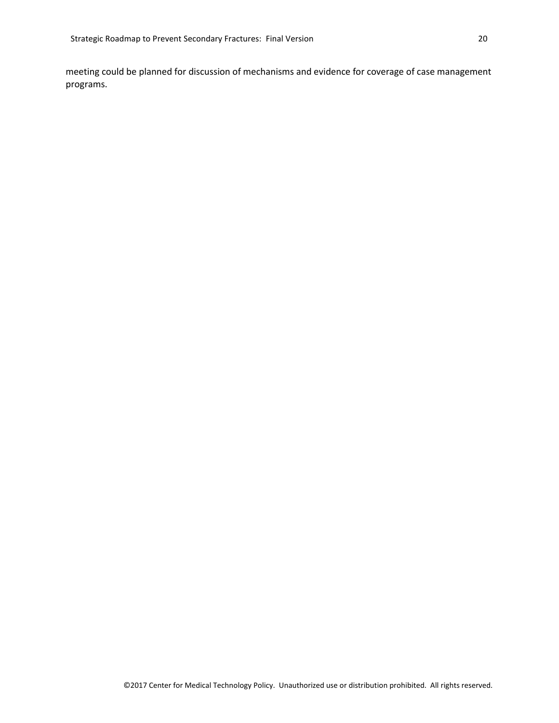meeting could be planned for discussion of mechanisms and evidence for coverage of case management programs.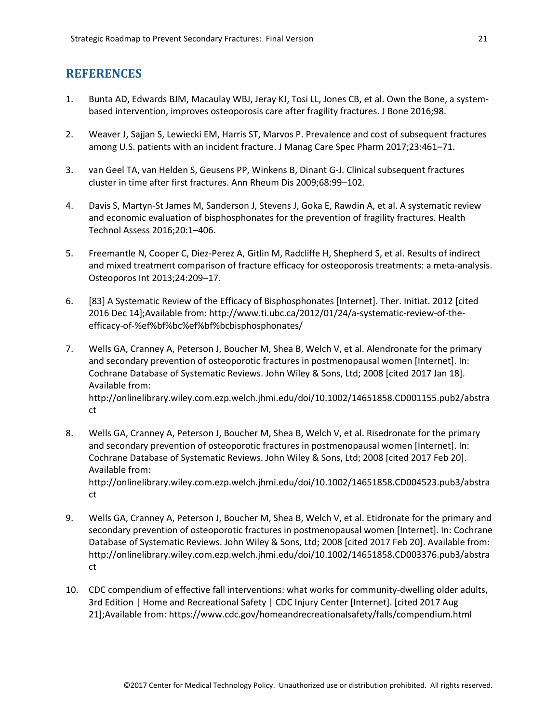# <span id="page-21-0"></span>**REFERENCES**

- 1. Bunta AD, Edwards BJM, Macaulay WBJ, Jeray KJ, Tosi LL, Jones CB, et al. Own the Bone, a systembased intervention, improves osteoporosis care after fragility fractures. J Bone 2016;98.
- 2. Weaver J, Sajjan S, Lewiecki EM, Harris ST, Marvos P. Prevalence and cost of subsequent fractures among U.S. patients with an incident fracture. J Manag Care Spec Pharm 2017;23:461–71.
- 3. van Geel TA, van Helden S, Geusens PP, Winkens B, Dinant G-J. Clinical subsequent fractures cluster in time after first fractures. Ann Rheum Dis 2009;68:99–102.
- 4. Davis S, Martyn-St James M, Sanderson J, Stevens J, Goka E, Rawdin A, et al. A systematic review and economic evaluation of bisphosphonates for the prevention of fragility fractures. Health Technol Assess 2016;20:1–406.
- 5. Freemantle N, Cooper C, Diez-Perez A, Gitlin M, Radcliffe H, Shepherd S, et al. Results of indirect and mixed treatment comparison of fracture efficacy for osteoporosis treatments: a meta-analysis. Osteoporos Int 2013;24:209–17.
- 6. [83] A Systematic Review of the Efficacy of Bisphosphonates [Internet]. Ther. Initiat. 2012 [cited 2016 Dec 14];Available from: http://www.ti.ubc.ca/2012/01/24/a-systematic-review-of-theefficacy-of-%ef%bf%bc%ef%bf%bcbisphosphonates/
- 7. Wells GA, Cranney A, Peterson J, Boucher M, Shea B, Welch V, et al. Alendronate for the primary and secondary prevention of osteoporotic fractures in postmenopausal women [Internet]. In: Cochrane Database of Systematic Reviews. John Wiley & Sons, Ltd; 2008 [cited 2017 Jan 18]. Available from: http://onlinelibrary.wiley.com.ezp.welch.jhmi.edu/doi/10.1002/14651858.CD001155.pub2/abstra ct
- 8. Wells GA, Cranney A, Peterson J, Boucher M, Shea B, Welch V, et al. Risedronate for the primary and secondary prevention of osteoporotic fractures in postmenopausal women [Internet]. In: Cochrane Database of Systematic Reviews. John Wiley & Sons, Ltd; 2008 [cited 2017 Feb 20]. Available from: http://onlinelibrary.wiley.com.ezp.welch.jhmi.edu/doi/10.1002/14651858.CD004523.pub3/abstra ct
- 9. Wells GA, Cranney A, Peterson J, Boucher M, Shea B, Welch V, et al. Etidronate for the primary and secondary prevention of osteoporotic fractures in postmenopausal women [Internet]. In: Cochrane Database of Systematic Reviews. John Wiley & Sons, Ltd; 2008 [cited 2017 Feb 20]. Available from: http://onlinelibrary.wiley.com.ezp.welch.jhmi.edu/doi/10.1002/14651858.CD003376.pub3/abstra ct
- 10. CDC compendium of effective fall interventions: what works for community-dwelling older adults, 3rd Edition | Home and Recreational Safety | CDC Injury Center [Internet]. [cited 2017 Aug 21];Available from: https://www.cdc.gov/homeandrecreationalsafety/falls/compendium.html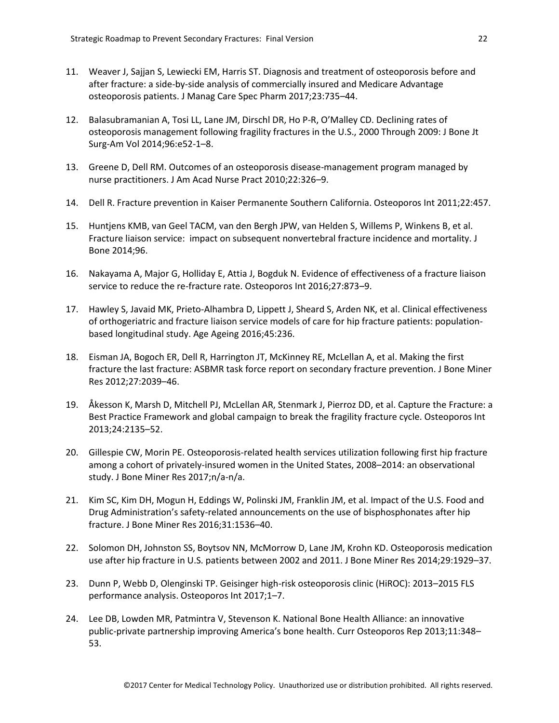- 11. Weaver J, Sajjan S, Lewiecki EM, Harris ST. Diagnosis and treatment of osteoporosis before and after fracture: a side-by-side analysis of commercially insured and Medicare Advantage osteoporosis patients. J Manag Care Spec Pharm 2017;23:735–44.
- 12. Balasubramanian A, Tosi LL, Lane JM, Dirschl DR, Ho P-R, O'Malley CD. Declining rates of osteoporosis management following fragility fractures in the U.S., 2000 Through 2009: J Bone Jt Surg-Am Vol 2014;96:e52-1–8.
- 13. Greene D, Dell RM. Outcomes of an osteoporosis disease-management program managed by nurse practitioners. J Am Acad Nurse Pract 2010;22:326–9.
- 14. Dell R. Fracture prevention in Kaiser Permanente Southern California. Osteoporos Int 2011;22:457.
- 15. Huntjens KMB, van Geel TACM, van den Bergh JPW, van Helden S, Willems P, Winkens B, et al. Fracture liaison service: impact on subsequent nonvertebral fracture incidence and mortality. J Bone 2014;96.
- 16. Nakayama A, Major G, Holliday E, Attia J, Bogduk N. Evidence of effectiveness of a fracture liaison service to reduce the re-fracture rate. Osteoporos Int 2016;27:873–9.
- 17. Hawley S, Javaid MK, Prieto-Alhambra D, Lippett J, Sheard S, Arden NK, et al. Clinical effectiveness of orthogeriatric and fracture liaison service models of care for hip fracture patients: populationbased longitudinal study. Age Ageing 2016;45:236.
- 18. Eisman JA, Bogoch ER, Dell R, Harrington JT, McKinney RE, McLellan A, et al. Making the first fracture the last fracture: ASBMR task force report on secondary fracture prevention. J Bone Miner Res 2012;27:2039–46.
- 19. Åkesson K, Marsh D, Mitchell PJ, McLellan AR, Stenmark J, Pierroz DD, et al. Capture the Fracture: a Best Practice Framework and global campaign to break the fragility fracture cycle. Osteoporos Int 2013;24:2135–52.
- 20. Gillespie CW, Morin PE. Osteoporosis-related health services utilization following first hip fracture among a cohort of privately-insured women in the United States, 2008–2014: an observational study. J Bone Miner Res 2017;n/a-n/a.
- 21. Kim SC, Kim DH, Mogun H, Eddings W, Polinski JM, Franklin JM, et al. Impact of the U.S. Food and Drug Administration's safety-related announcements on the use of bisphosphonates after hip fracture. J Bone Miner Res 2016;31:1536–40.
- 22. Solomon DH, Johnston SS, Boytsov NN, McMorrow D, Lane JM, Krohn KD. Osteoporosis medication use after hip fracture in U.S. patients between 2002 and 2011. J Bone Miner Res 2014;29:1929–37.
- 23. Dunn P, Webb D, Olenginski TP. Geisinger high-risk osteoporosis clinic (HiROC): 2013–2015 FLS performance analysis. Osteoporos Int 2017;1–7.
- 24. Lee DB, Lowden MR, Patmintra V, Stevenson K. National Bone Health Alliance: an innovative public-private partnership improving America's bone health. Curr Osteoporos Rep 2013;11:348– 53.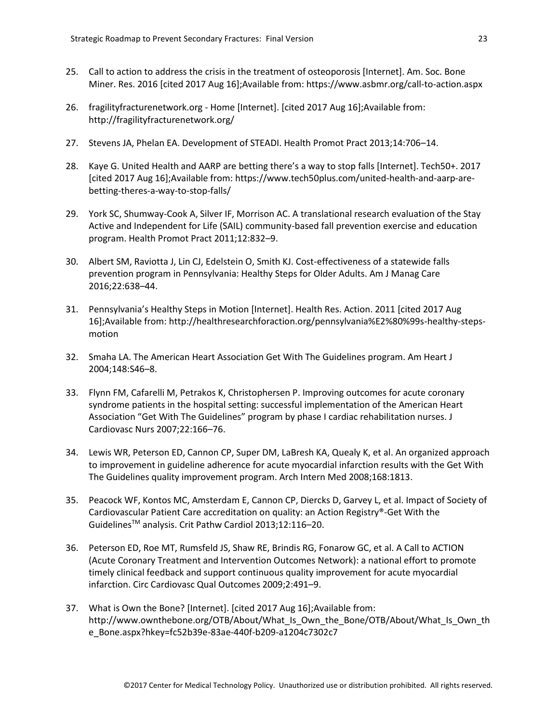- 25. Call to action to address the crisis in the treatment of osteoporosis [Internet]. Am. Soc. Bone Miner. Res. 2016 [cited 2017 Aug 16];Available from: https://www.asbmr.org/call-to-action.aspx
- 26. fragilityfracturenetwork.org Home [Internet]. [cited 2017 Aug 16];Available from: http://fragilityfracturenetwork.org/
- 27. Stevens JA, Phelan EA. Development of STEADI. Health Promot Pract 2013;14:706–14.
- 28. Kaye G. United Health and AARP are betting there's a way to stop falls [Internet]. Tech50+. 2017 [cited 2017 Aug 16];Available from: https://www.tech50plus.com/united-health-and-aarp-arebetting-theres-a-way-to-stop-falls/
- 29. York SC, Shumway-Cook A, Silver IF, Morrison AC. A translational research evaluation of the Stay Active and Independent for Life (SAIL) community-based fall prevention exercise and education program. Health Promot Pract 2011;12:832–9.
- 30. Albert SM, Raviotta J, Lin CJ, Edelstein O, Smith KJ. Cost-effectiveness of a statewide falls prevention program in Pennsylvania: Healthy Steps for Older Adults. Am J Manag Care 2016;22:638–44.
- 31. Pennsylvania's Healthy Steps in Motion [Internet]. Health Res. Action. 2011 [cited 2017 Aug 16];Available from: http://healthresearchforaction.org/pennsylvania%E2%80%99s-healthy-stepsmotion
- 32. Smaha LA. The American Heart Association Get With The Guidelines program. Am Heart J 2004;148:S46–8.
- 33. Flynn FM, Cafarelli M, Petrakos K, Christophersen P. Improving outcomes for acute coronary syndrome patients in the hospital setting: successful implementation of the American Heart Association "Get With The Guidelines" program by phase I cardiac rehabilitation nurses. J Cardiovasc Nurs 2007;22:166–76.
- 34. Lewis WR, Peterson ED, Cannon CP, Super DM, LaBresh KA, Quealy K, et al. An organized approach to improvement in guideline adherence for acute myocardial infarction results with the Get With The Guidelines quality improvement program. Arch Intern Med 2008;168:1813.
- 35. Peacock WF, Kontos MC, Amsterdam E, Cannon CP, Diercks D, Garvey L, et al. Impact of Society of Cardiovascular Patient Care accreditation on quality: an Action Registry®-Get With the GuidelinesTM analysis. Crit Pathw Cardiol 2013;12:116–20.
- 36. Peterson ED, Roe MT, Rumsfeld JS, Shaw RE, Brindis RG, Fonarow GC, et al. A Call to ACTION (Acute Coronary Treatment and Intervention Outcomes Network): a national effort to promote timely clinical feedback and support continuous quality improvement for acute myocardial infarction. Circ Cardiovasc Qual Outcomes 2009;2:491–9.
- 37. What is Own the Bone? [Internet]. [cited 2017 Aug 16];Available from: http://www.ownthebone.org/OTB/About/What\_Is\_Own\_the\_Bone/OTB/About/What\_Is\_Own\_th e\_Bone.aspx?hkey=fc52b39e-83ae-440f-b209-a1204c7302c7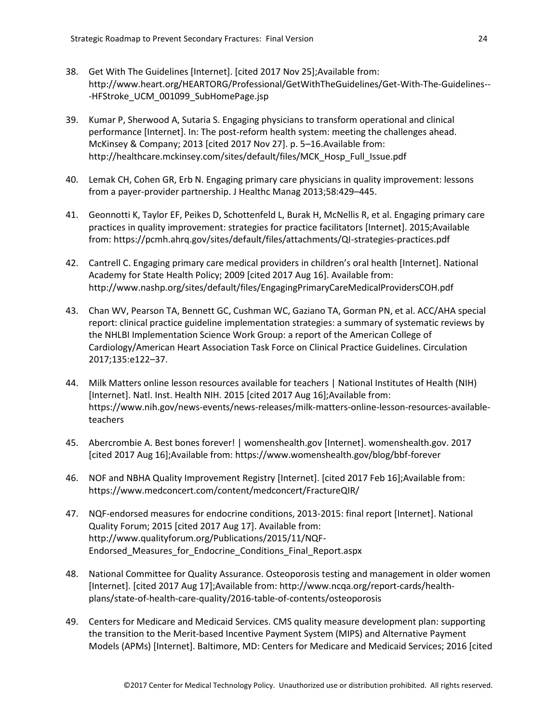- 38. Get With The Guidelines [Internet]. [cited 2017 Nov 25];Available from: http://www.heart.org/HEARTORG/Professional/GetWithTheGuidelines/Get-With-The-Guidelines-- -HFStroke\_UCM\_001099\_SubHomePage.jsp
- 39. Kumar P, Sherwood A, Sutaria S. Engaging physicians to transform operational and clinical performance [Internet]. In: The post-reform health system: meeting the challenges ahead. McKinsey & Company; 2013 [cited 2017 Nov 27]. p. 5–16.Available from: http://healthcare.mckinsey.com/sites/default/files/MCK\_Hosp\_Full\_Issue.pdf
- 40. Lemak CH, Cohen GR, Erb N. Engaging primary care physicians in quality improvement: lessons from a payer-provider partnership. J Healthc Manag 2013;58:429–445.
- 41. Geonnotti K, Taylor EF, Peikes D, Schottenfeld L, Burak H, McNellis R, et al. Engaging primary care practices in quality improvement: strategies for practice facilitators [Internet]. 2015;Available from: https://pcmh.ahrq.gov/sites/default/files/attachments/QI-strategies-practices.pdf
- 42. Cantrell C. Engaging primary care medical providers in children's oral health [Internet]. National Academy for State Health Policy; 2009 [cited 2017 Aug 16]. Available from: http://www.nashp.org/sites/default/files/EngagingPrimaryCareMedicalProvidersCOH.pdf
- 43. Chan WV, Pearson TA, Bennett GC, Cushman WC, Gaziano TA, Gorman PN, et al. ACC/AHA special report: clinical practice guideline implementation strategies: a summary of systematic reviews by the NHLBI Implementation Science Work Group: a report of the American College of Cardiology/American Heart Association Task Force on Clinical Practice Guidelines. Circulation 2017;135:e122–37.
- 44. Milk Matters online lesson resources available for teachers | National Institutes of Health (NIH) [Internet]. Natl. Inst. Health NIH. 2015 [cited 2017 Aug 16];Available from: https://www.nih.gov/news-events/news-releases/milk-matters-online-lesson-resources-availableteachers
- 45. Abercrombie A. Best bones forever! | womenshealth.gov [Internet]. womenshealth.gov. 2017 [cited 2017 Aug 16];Available from: https://www.womenshealth.gov/blog/bbf-forever
- 46. NOF and NBHA Quality Improvement Registry [Internet]. [cited 2017 Feb 16];Available from: https://www.medconcert.com/content/medconcert/FractureQIR/
- 47. NQF-endorsed measures for endocrine conditions, 2013-2015: final report [Internet]. National Quality Forum; 2015 [cited 2017 Aug 17]. Available from: http://www.qualityforum.org/Publications/2015/11/NQF-Endorsed\_Measures\_for\_Endocrine\_Conditions\_Final\_Report.aspx
- 48. National Committee for Quality Assurance. Osteoporosis testing and management in older women [Internet]. [cited 2017 Aug 17];Available from: http://www.ncqa.org/report-cards/healthplans/state-of-health-care-quality/2016-table-of-contents/osteoporosis
- 49. Centers for Medicare and Medicaid Services. CMS quality measure development plan: supporting the transition to the Merit-based Incentive Payment System (MIPS) and Alternative Payment Models (APMs) [Internet]. Baltimore, MD: Centers for Medicare and Medicaid Services; 2016 [cited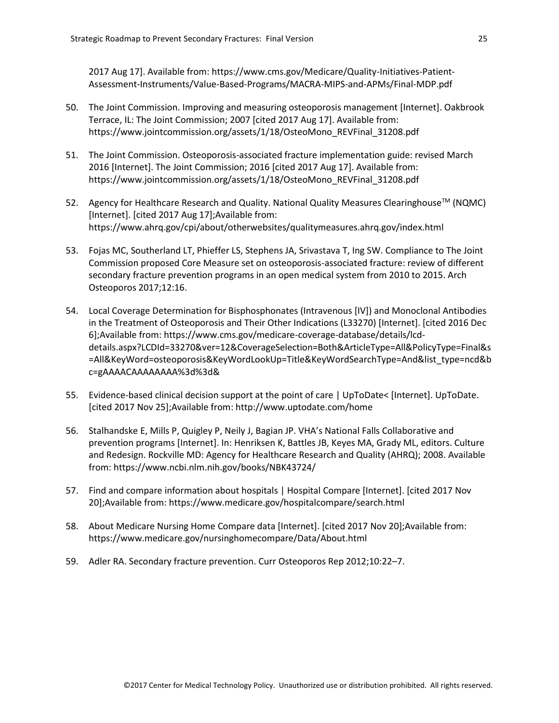2017 Aug 17]. Available from: https://www.cms.gov/Medicare/Quality-Initiatives-Patient-Assessment-Instruments/Value-Based-Programs/MACRA-MIPS-and-APMs/Final-MDP.pdf

- 50. The Joint Commission. Improving and measuring osteoporosis management [Internet]. Oakbrook Terrace, IL: The Joint Commission; 2007 [cited 2017 Aug 17]. Available from: https://www.jointcommission.org/assets/1/18/OsteoMono\_REVFinal\_31208.pdf
- 51. The Joint Commission. Osteoporosis-associated fracture implementation guide: revised March 2016 [Internet]. The Joint Commission; 2016 [cited 2017 Aug 17]. Available from: https://www.jointcommission.org/assets/1/18/OsteoMono\_REVFinal\_31208.pdf
- 52. Agency for Healthcare Research and Quality. National Quality Measures Clearinghouse<sup>™</sup> (NQMC) [Internet]. [cited 2017 Aug 17];Available from: https://www.ahrq.gov/cpi/about/otherwebsites/qualitymeasures.ahrq.gov/index.html
- 53. Fojas MC, Southerland LT, Phieffer LS, Stephens JA, Srivastava T, Ing SW. Compliance to The Joint Commission proposed Core Measure set on osteoporosis-associated fracture: review of different secondary fracture prevention programs in an open medical system from 2010 to 2015. Arch Osteoporos 2017;12:16.
- 54. Local Coverage Determination for Bisphosphonates (Intravenous [IV]) and Monoclonal Antibodies in the Treatment of Osteoporosis and Their Other Indications (L33270) [Internet]. [cited 2016 Dec 6];Available from: https://www.cms.gov/medicare-coverage-database/details/lcddetails.aspx?LCDId=33270&ver=12&CoverageSelection=Both&ArticleType=All&PolicyType=Final&s =All&KeyWord=osteoporosis&KeyWordLookUp=Title&KeyWordSearchType=And&list\_type=ncd&b c=gAAAACAAAAAAAA%3d%3d&
- 55. Evidence-based clinical decision support at the point of care | UpToDate< [Internet]. UpToDate. [cited 2017 Nov 25];Available from: http://www.uptodate.com/home
- 56. Stalhandske E, Mills P, Quigley P, Neily J, Bagian JP. VHA's National Falls Collaborative and prevention programs [Internet]. In: Henriksen K, Battles JB, Keyes MA, Grady ML, editors. Culture and Redesign. Rockville MD: Agency for Healthcare Research and Quality (AHRQ); 2008. Available from: https://www.ncbi.nlm.nih.gov/books/NBK43724/
- 57. Find and compare information about hospitals | Hospital Compare [Internet]. [cited 2017 Nov 20];Available from: https://www.medicare.gov/hospitalcompare/search.html
- 58. About Medicare Nursing Home Compare data [Internet]. [cited 2017 Nov 20];Available from: https://www.medicare.gov/nursinghomecompare/Data/About.html
- 59. Adler RA. Secondary fracture prevention. Curr Osteoporos Rep 2012;10:22–7.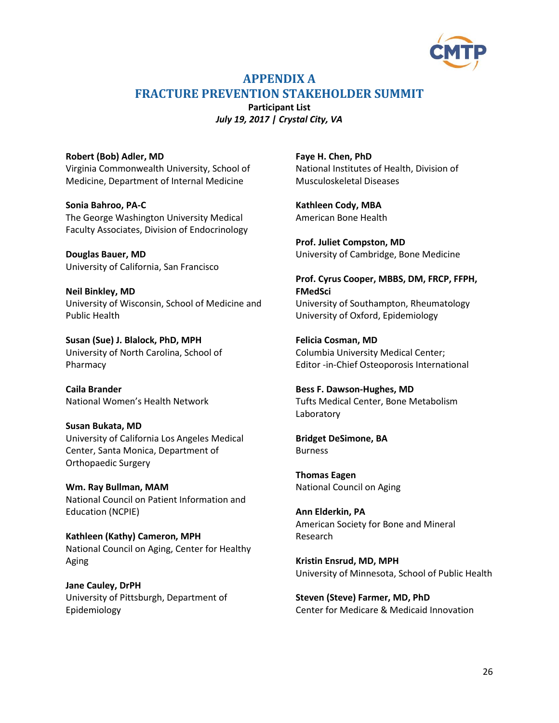

# <span id="page-26-0"></span>**APPENDIX A FRACTURE PREVENTION STAKEHOLDER SUMMIT**

**Participant List** *July 19, 2017 | Crystal City, VA*

<span id="page-26-2"></span><span id="page-26-1"></span>**Robert (Bob) Adler, MD** Virginia Commonwealth University, School of Medicine, Department of Internal Medicine

**Sonia Bahroo, PA-C** The George Washington University Medical Faculty Associates, Division of Endocrinology

**Douglas Bauer, MD** University of California, San Francisco

**Neil Binkley, MD** University of Wisconsin, School of Medicine and Public Health

**Susan (Sue) J. Blalock, PhD, MPH** University of North Carolina, School of Pharmacy

**Caila Brander** National Women's Health Network

**Susan Bukata, MD** University of California Los Angeles Medical Center, Santa Monica, Department of Orthopaedic Surgery

**Wm. Ray Bullman, MAM** National Council on Patient Information and Education (NCPIE)

**Kathleen (Kathy) Cameron, MPH** National Council on Aging, Center for Healthy Aging

**Jane Cauley, DrPH** University of Pittsburgh, Department of Epidemiology

**Faye H. Chen, PhD** National Institutes of Health, Division of Musculoskeletal Diseases

**Kathleen Cody, MBA** American Bone Health

**Prof. Juliet Compston, MD** University of Cambridge, Bone Medicine

**Prof. Cyrus Cooper, MBBS, DM, FRCP, FFPH, FMedSci** University of Southampton, Rheumatology University of Oxford, Epidemiology

**Felicia Cosman, MD** Columbia University Medical Center; Editor -in-Chief Osteoporosis International

**Bess F. Dawson-Hughes, MD** Tufts Medical Center, Bone Metabolism Laboratory

**Bridget DeSimone, BA** Burness

**Thomas Eagen** National Council on Aging

**Ann Elderkin, PA** American Society for Bone and Mineral Research

**Kristin Ensrud, MD, MPH** University of Minnesota, School of Public Health

**Steven (Steve) Farmer, MD, PhD** Center for Medicare & Medicaid Innovation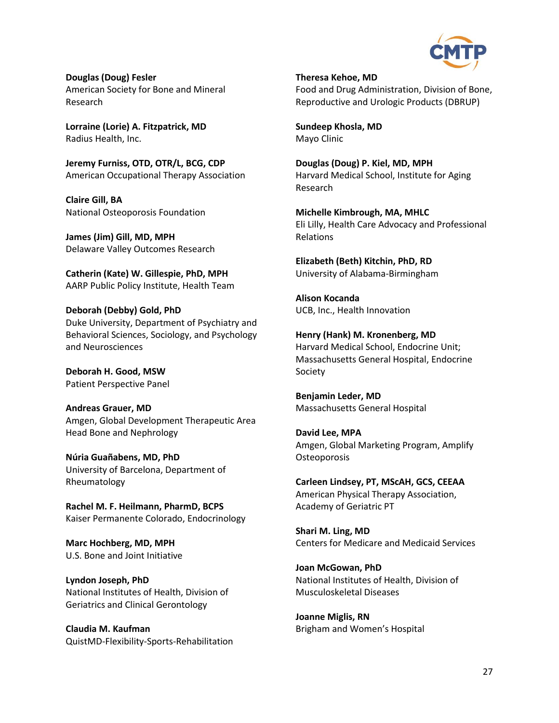

**Douglas (Doug) Fesler** American Society for Bone and Mineral Research

**Lorraine (Lorie) A. Fitzpatrick, MD** Radius Health, Inc.

**Jeremy Furniss, OTD, OTR/L, BCG, CDP** American Occupational Therapy Association

**Claire Gill, BA** National Osteoporosis Foundation

**James (Jim) Gill, MD, MPH** Delaware Valley Outcomes Research

**Catherin (Kate) W. Gillespie, PhD, MPH** AARP Public Policy Institute, Health Team

**Deborah (Debby) Gold, PhD** Duke University, Department of Psychiatry and Behavioral Sciences, Sociology, and Psychology and Neurosciences

**Deborah H. Good, MSW** Patient Perspective Panel

**Andreas Grauer, MD** Amgen, Global Development Therapeutic Area Head Bone and Nephrology

**Núria Guañabens, MD, PhD** University of Barcelona, Department of Rheumatology

**Rachel M. F. Heilmann, PharmD, BCPS** Kaiser Permanente Colorado, Endocrinology

**Marc Hochberg, MD, MPH** U.S. Bone and Joint Initiative

**Lyndon Joseph, PhD** National Institutes of Health, Division of Geriatrics and Clinical Gerontology

**Claudia M. Kaufman** QuistMD-Flexibility-Sports-Rehabilitation **Theresa Kehoe, MD** Food and Drug Administration, Division of Bone, Reproductive and Urologic Products (DBRUP)

**Sundeep Khosla, MD** Mayo Clinic

**Douglas (Doug) P. Kiel, MD, MPH** Harvard Medical School, Institute for Aging Research

**Michelle Kimbrough, MA, MHLC** Eli Lilly, Health Care Advocacy and Professional Relations

**Elizabeth (Beth) Kitchin, PhD, RD** University of Alabama-Birmingham

**Alison Kocanda** UCB, Inc., Health Innovation

**Henry (Hank) M. Kronenberg, MD** Harvard Medical School, Endocrine Unit; Massachusetts General Hospital, Endocrine Society

**Benjamin Leder, MD** Massachusetts General Hospital

**David Lee, MPA** Amgen, Global Marketing Program, Amplify **Osteoporosis** 

**Carleen Lindsey, PT, MScAH, GCS, CEEAA** American Physical Therapy Association, Academy of Geriatric PT

**Shari M. Ling, MD** Centers for Medicare and Medicaid Services

**Joan McGowan, PhD** National Institutes of Health, Division of Musculoskeletal Diseases

**Joanne Miglis, RN** Brigham and Women's Hospital